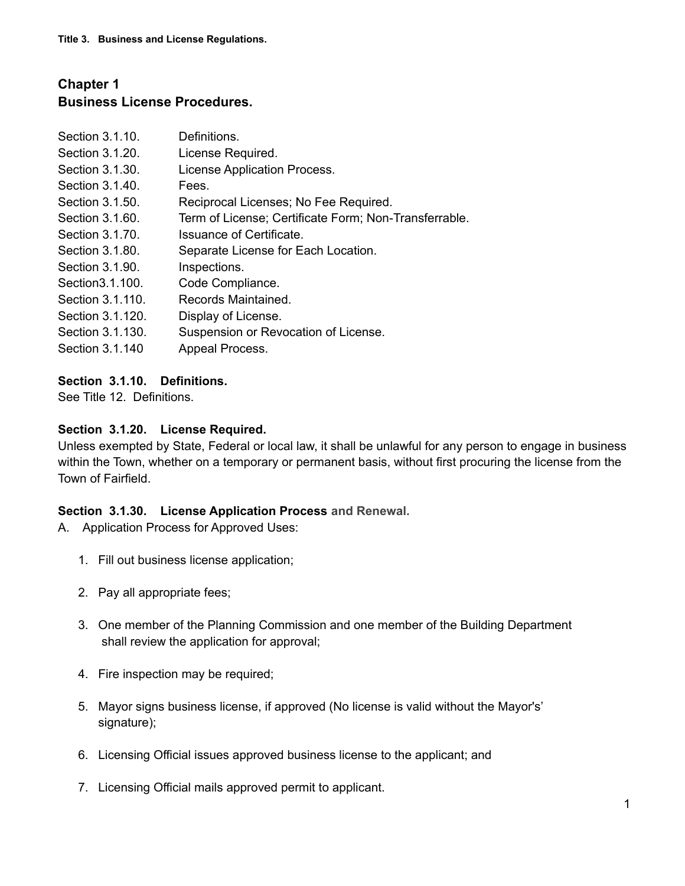# **Chapter 1 Business License Procedures.**

| Section 3.1.10.  | Definitions.                                          |
|------------------|-------------------------------------------------------|
| Section 3.1.20.  | License Required.                                     |
| Section 3.1.30.  | License Application Process.                          |
| Section 3.1.40.  | Fees.                                                 |
| Section 3.1.50.  | Reciprocal Licenses; No Fee Required.                 |
| Section 3.1.60.  | Term of License; Certificate Form; Non-Transferrable. |
| Section 3.1.70.  | Issuance of Certificate.                              |
| Section 3.1.80.  | Separate License for Each Location.                   |
| Section 3.1.90.  | Inspections.                                          |
| Section 3.1.100. | Code Compliance.                                      |
| Section 3.1.110. | Records Maintained.                                   |
| Section 3.1.120. | Display of License.                                   |
| Section 3.1.130. | Suspension or Revocation of License.                  |
| Section 3.1.140  | Appeal Process.                                       |

# **Section 3.1.10. Definitions.**

See Title 12. Definitions.

#### **Section 3.1.20. License Required.**

Unless exempted by State, Federal or local law, it shall be unlawful for any person to engage in business within the Town, whether on a temporary or permanent basis, without first procuring the license from the Town of Fairfield.

#### **Section 3.1.30. License Application Process and Renewal.**

- A. Application Process for Approved Uses:
	- 1. Fill out business license application;
	- 2. Pay all appropriate fees;
	- 3. One member of the Planning Commission and one member of the Building Department shall review the application for approval;
	- 4. Fire inspection may be required;
	- 5. Mayor signs business license, if approved (No license is valid without the Mayor's' signature);
	- 6. Licensing Official issues approved business license to the applicant; and
	- 7. Licensing Official mails approved permit to applicant.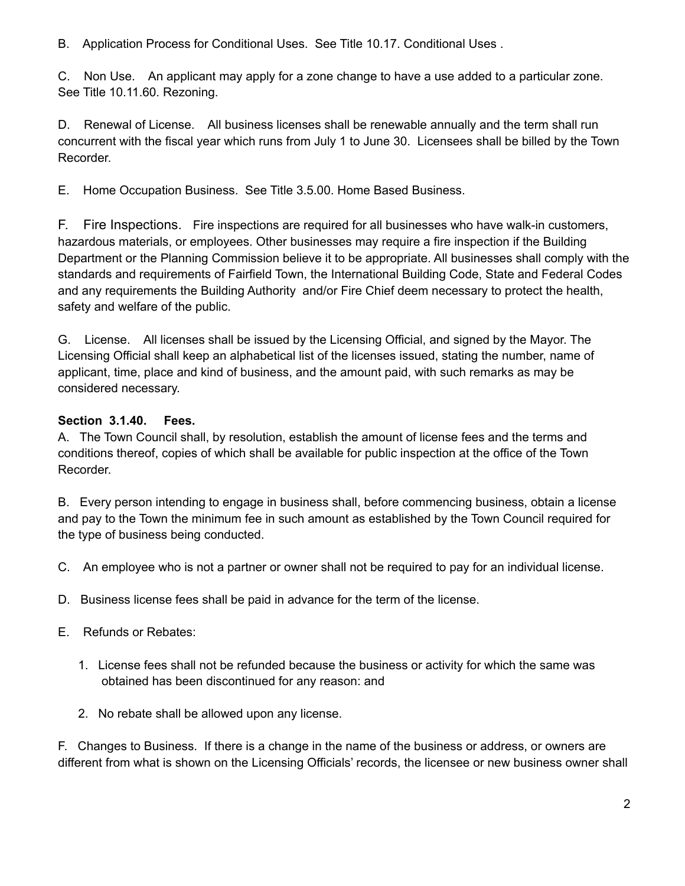B. Application Process for Conditional Uses. See Title 10.17. Conditional Uses .

C. Non Use. An applicant may apply for a zone change to have a use added to a particular zone. See Title 10.11.60. Rezoning.

D. Renewal of License. All business licenses shall be renewable annually and the term shall run concurrent with the fiscal year which runs from July 1 to June 30. Licensees shall be billed by the Town Recorder.

E. Home Occupation Business. See Title 3.5.00. Home Based Business.

F. Fire Inspections. Fire inspections are required for all businesses who have walk-in customers, hazardous materials, or employees. Other businesses may require a fire inspection if the Building Department or the Planning Commission believe it to be appropriate. All businesses shall comply with the standards and requirements of Fairfield Town, the International Building Code, State and Federal Codes and any requirements the Building Authority and/or Fire Chief deem necessary to protect the health, safety and welfare of the public.

G. License. All licenses shall be issued by the Licensing Official, and signed by the Mayor. The Licensing Official shall keep an alphabetical list of the licenses issued, stating the number, name of applicant, time, place and kind of business, and the amount paid, with such remarks as may be considered necessary.

# **Section 3.1.40. Fees.**

A. The Town Council shall, by resolution, establish the amount of license fees and the terms and conditions thereof, copies of which shall be available for public inspection at the office of the Town Recorder.

B. Every person intending to engage in business shall, before commencing business, obtain a license and pay to the Town the minimum fee in such amount as established by the Town Council required for the type of business being conducted.

- C. An employee who is not a partner or owner shall not be required to pay for an individual license.
- D. Business license fees shall be paid in advance for the term of the license.
- E. Refunds or Rebates:
	- 1. License fees shall not be refunded because the business or activity for which the same was obtained has been discontinued for any reason: and
	- 2. No rebate shall be allowed upon any license.

F. Changes to Business. If there is a change in the name of the business or address, or owners are different from what is shown on the Licensing Officials' records, the licensee or new business owner shall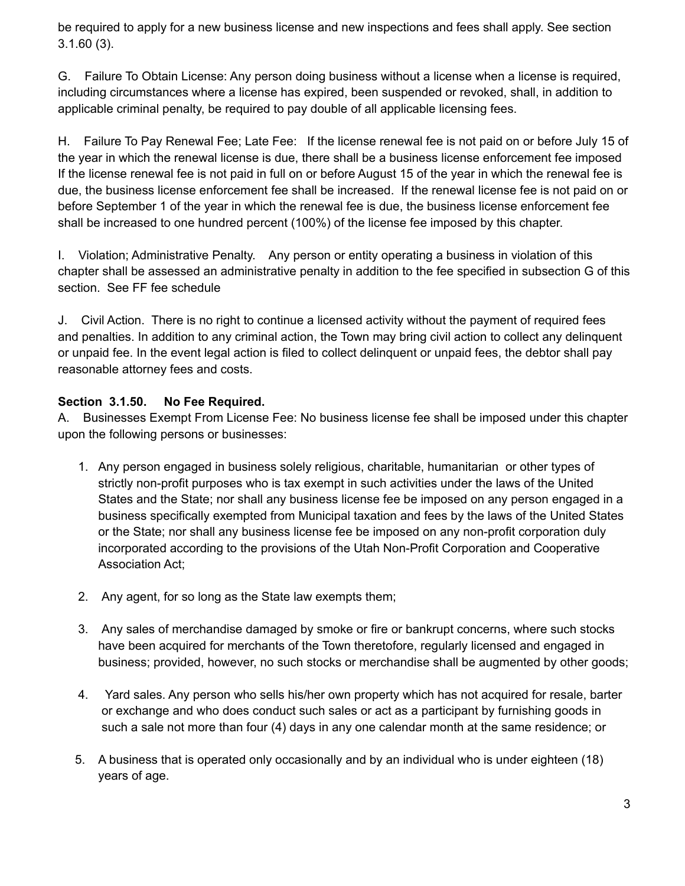be required to apply for a new business license and new inspections and fees shall apply. See section 3.1.60 (3).

G. Failure To Obtain License: Any person doing business without a license when a license is required, including circumstances where a license has expired, been suspended or revoked, shall, in addition to applicable criminal penalty, be required to pay double of all applicable licensing fees.

H. Failure To Pay Renewal Fee; Late Fee: If the license renewal fee is not paid on or before July 15 of the year in which the renewal license is due, there shall be a business license enforcement fee imposed If the license renewal fee is not paid in full on or before August 15 of the year in which the renewal fee is due, the business license enforcement fee shall be increased. If the renewal license fee is not paid on or before September 1 of the year in which the renewal fee is due, the business license enforcement fee shall be increased to one hundred percent (100%) of the license fee imposed by this chapter.

I. Violation; Administrative Penalty. Any person or entity operating a business in violation of this chapter shall be assessed an administrative penalty in addition to the fee specified in subsection G of this section. See FF fee schedule

J. Civil Action. There is no right to continue a licensed activity without the payment of required fees and penalties. In addition to any criminal action, the Town may bring civil action to collect any delinquent or unpaid fee. In the event legal action is filed to collect delinquent or unpaid fees, the debtor shall pay reasonable attorney fees and costs.

# **Section 3.1.50. No Fee Required.**

A. Businesses Exempt From License Fee: No business license fee shall be imposed under this chapter upon the following persons or businesses:

- 1. Any person engaged in business solely religious, charitable, humanitarian or other types of strictly non-profit purposes who is tax exempt in such activities under the laws of the United States and the State; nor shall any business license fee be imposed on any person engaged in a business specifically exempted from Municipal taxation and fees by the laws of the United States or the State; nor shall any business license fee be imposed on any non-profit corporation duly incorporated according to the provisions of the Utah Non-Profit Corporation and Cooperative Association Act;
- 2. Any agent, for so long as the State law exempts them;
- 3. Any sales of merchandise damaged by smoke or fire or bankrupt concerns, where such stocks have been acquired for merchants of the Town theretofore, regularly licensed and engaged in business; provided, however, no such stocks or merchandise shall be augmented by other goods;
- 4. Yard sales. Any person who sells his/her own property which has not acquired for resale, barter or exchange and who does conduct such sales or act as a participant by furnishing goods in such a sale not more than four (4) days in any one calendar month at the same residence; or
- 5. A business that is operated only occasionally and by an individual who is under eighteen (18) years of age.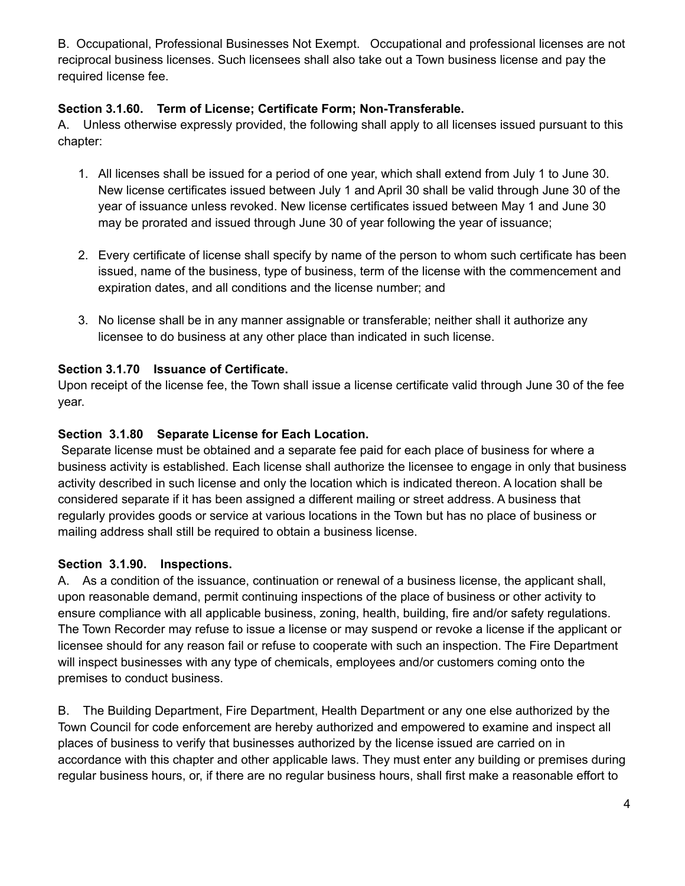B. Occupational, Professional Businesses Not Exempt. Occupational and professional licenses are not reciprocal business licenses. Such licensees shall also take out a Town business license and pay the required license fee.

### **Section 3.1.60. Term of License; Certificate Form; Non-Transferable.**

A. Unless otherwise expressly provided, the following shall apply to all licenses issued pursuant to this chapter:

- 1. All licenses shall be issued for a period of one year, which shall extend from July 1 to June 30. New license certificates issued between July 1 and April 30 shall be valid through June 30 of the year of issuance unless revoked. New license certificates issued between May 1 and June 30 may be prorated and issued through June 30 of year following the year of issuance;
- 2. Every certificate of license shall specify by name of the person to whom such certificate has been issued, name of the business, type of business, term of the license with the commencement and expiration dates, and all conditions and the license number; and
- 3. No license shall be in any manner assignable or transferable; neither shall it authorize any licensee to do business at any other place than indicated in such license.

# **Section 3.1.70 Issuance of Certificate.**

Upon receipt of the license fee, the Town shall issue a license certificate valid through June 30 of the fee year.

# **Section 3.1.80 Separate License for Each Location.**

Separate license must be obtained and a separate fee paid for each place of business for where a business activity is established. Each license shall authorize the licensee to engage in only that business activity described in such license and only the location which is indicated thereon. A location shall be considered separate if it has been assigned a different mailing or street address. A business that regularly provides goods or service at various locations in the Town but has no place of business or mailing address shall still be required to obtain a business license.

#### **Section 3.1.90. Inspections.**

A. As a condition of the issuance, continuation or renewal of a business license, the applicant shall, upon reasonable demand, permit continuing inspections of the place of business or other activity to ensure compliance with all applicable business, zoning, health, building, fire and/or safety regulations. The Town Recorder may refuse to issue a license or may suspend or revoke a license if the applicant or licensee should for any reason fail or refuse to cooperate with such an inspection. The Fire Department will inspect businesses with any type of chemicals, employees and/or customers coming onto the premises to conduct business.

B. The Building Department, Fire Department, Health Department or any one else authorized by the Town Council for code enforcement are hereby authorized and empowered to examine and inspect all places of business to verify that businesses authorized by the license issued are carried on in accordance with this chapter and other applicable laws. They must enter any building or premises during regular business hours, or, if there are no regular business hours, shall first make a reasonable effort to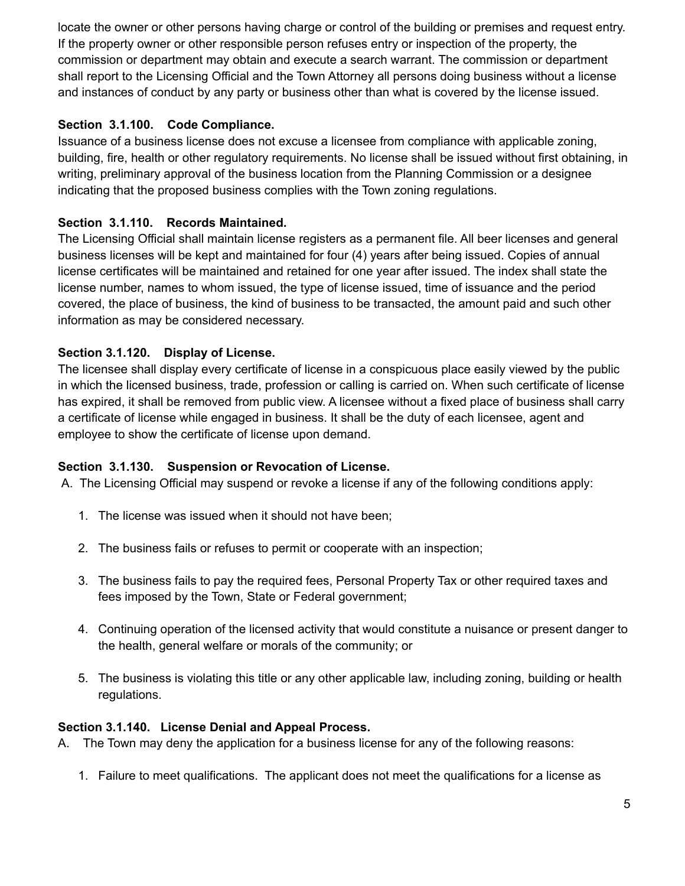locate the owner or other persons having charge or control of the building or premises and request entry. If the property owner or other responsible person refuses entry or inspection of the property, the commission or department may obtain and execute a search warrant. The commission or department shall report to the Licensing Official and the Town Attorney all persons doing business without a license and instances of conduct by any party or business other than what is covered by the license issued.

# **Section 3.1.100. Code Compliance.**

Issuance of a business license does not excuse a licensee from compliance with applicable zoning, building, fire, health or other regulatory requirements. No license shall be issued without first obtaining, in writing, preliminary approval of the business location from the Planning Commission or a designee indicating that the proposed business complies with the Town zoning regulations.

# **Section 3.1.110. Records Maintained.**

The Licensing Official shall maintain license registers as a permanent file. All beer licenses and general business licenses will be kept and maintained for four (4) years after being issued. Copies of annual license certificates will be maintained and retained for one year after issued. The index shall state the license number, names to whom issued, the type of license issued, time of issuance and the period covered, the place of business, the kind of business to be transacted, the amount paid and such other information as may be considered necessary.

# **Section 3.1.120. Display of License.**

The licensee shall display every certificate of license in a conspicuous place easily viewed by the public in which the licensed business, trade, profession or calling is carried on. When such certificate of license has expired, it shall be removed from public view. A licensee without a fixed place of business shall carry a certificate of license while engaged in business. It shall be the duty of each licensee, agent and employee to show the certificate of license upon demand.

#### **Section 3.1.130. Suspension or Revocation of License.**

A. The Licensing Official may suspend or revoke a license if any of the following conditions apply:

- 1. The license was issued when it should not have been;
- 2. The business fails or refuses to permit or cooperate with an inspection;
- 3. The business fails to pay the required fees, Personal Property Tax or other required taxes and fees imposed by the Town, State or Federal government;
- 4. Continuing operation of the licensed activity that would constitute a nuisance or present danger to the health, general welfare or morals of the community; or
- 5. The business is violating this title or any other applicable law, including zoning, building or health regulations.

#### **Section 3.1.140. License Denial and Appeal Process.**

A. The Town may deny the application for a business license for any of the following reasons:

1. Failure to meet qualifications. The applicant does not meet the qualifications for a license as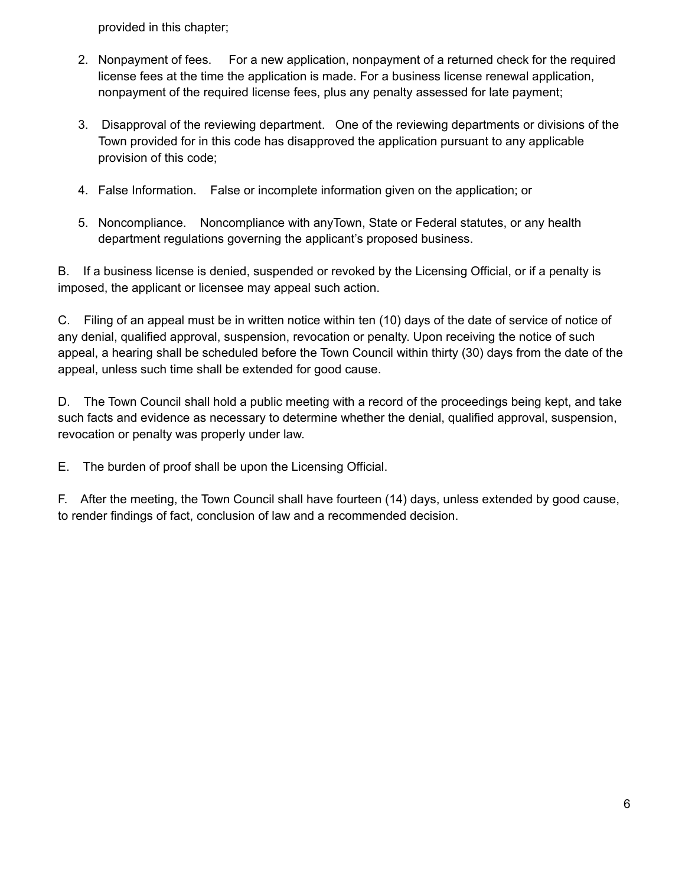provided in this chapter;

- 2. Nonpayment of fees. For a new application, nonpayment of a returned check for the required license fees at the time the application is made. For a business license renewal application, nonpayment of the required license fees, plus any penalty assessed for late payment;
- 3. Disapproval of the reviewing department. One of the reviewing departments or divisions of the Town provided for in this code has disapproved the application pursuant to any applicable provision of this code;
- 4. False Information. False or incomplete information given on the application; or
- 5. Noncompliance. Noncompliance with anyTown, State or Federal statutes, or any health department regulations governing the applicant's proposed business.

B. If a business license is denied, suspended or revoked by the Licensing Official, or if a penalty is imposed, the applicant or licensee may appeal such action.

C. Filing of an appeal must be in written notice within ten (10) days of the date of service of notice of any denial, qualified approval, suspension, revocation or penalty. Upon receiving the notice of such appeal, a hearing shall be scheduled before the Town Council within thirty (30) days from the date of the appeal, unless such time shall be extended for good cause.

D. The Town Council shall hold a public meeting with a record of the proceedings being kept, and take such facts and evidence as necessary to determine whether the denial, qualified approval, suspension, revocation or penalty was properly under law.

E. The burden of proof shall be upon the Licensing Official.

F. After the meeting, the Town Council shall have fourteen (14) days, unless extended by good cause, to render findings of fact, conclusion of law and a recommended decision.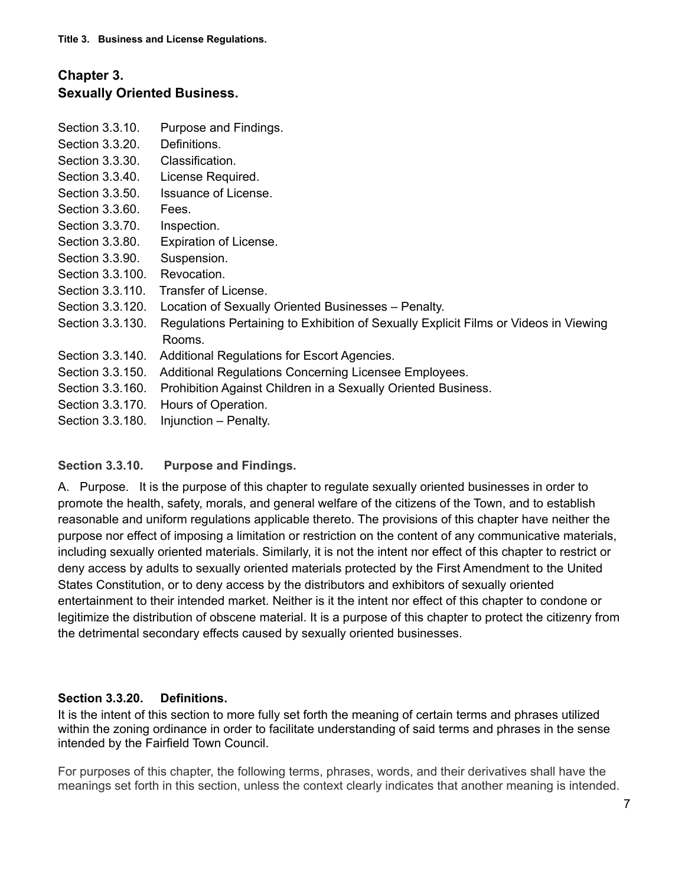# **Chapter 3. Sexually Oriented Business.**

- Section 3.3.10. Purpose and Findings.
- Section 3.3.20. Definitions.
- Section 3.3.30. Classification.
- Section 3.3.40. License Required.
- Section 3.3.50. Issuance of License.
- Section 3.3.60. Fees.
- Section 3.3.70. Inspection.
- Section 3.3.80. Expiration of License.
- Section 3.3.90. Suspension.
- Section 3.3.100. Revocation.
- Section 3.3.110. Transfer of License.
- Section 3.3.120. Location of Sexually Oriented Businesses Penalty.
- Section 3.3.130. Regulations Pertaining to Exhibition of Sexually Explicit Films or Videos in Viewing Rooms.
- Section 3.3.140. Additional Regulations for Escort Agencies.
- Section 3.3.150. Additional Regulations Concerning Licensee Employees.
- Section 3.3.160. Prohibition Against Children in a Sexually Oriented Business.
- Section 3.3.170. Hours of Operation.
- Section 3.3.180. Injunction Penalty.

#### **Section 3.3.10. Purpose and Findings.**

A. Purpose. It is the purpose of this chapter to regulate sexually oriented businesses in order to promote the health, safety, morals, and general welfare of the citizens of the Town, and to establish reasonable and uniform regulations applicable thereto. The provisions of this chapter have neither the purpose nor effect of imposing a limitation or restriction on the content of any communicative materials, including sexually oriented materials. Similarly, it is not the intent nor effect of this chapter to restrict or deny access by adults to sexually oriented materials protected by the First Amendment to the United States Constitution, or to deny access by the distributors and exhibitors of sexually oriented entertainment to their intended market. Neither is it the intent nor effect of this chapter to condone or legitimize the distribution of obscene material. It is a purpose of this chapter to protect the citizenry from the detrimental secondary effects caused by sexually oriented businesses.

#### **Section 3.3.20. Definitions.**

It is the intent of this section to more fully set forth the meaning of certain terms and phrases utilized within the zoning ordinance in order to facilitate understanding of said terms and phrases in the sense intended by the Fairfield Town Council.

For purposes of this chapter, the following terms, phrases, words, and their derivatives shall have the meanings set forth in this section, unless the context clearly indicates that another meaning is intended.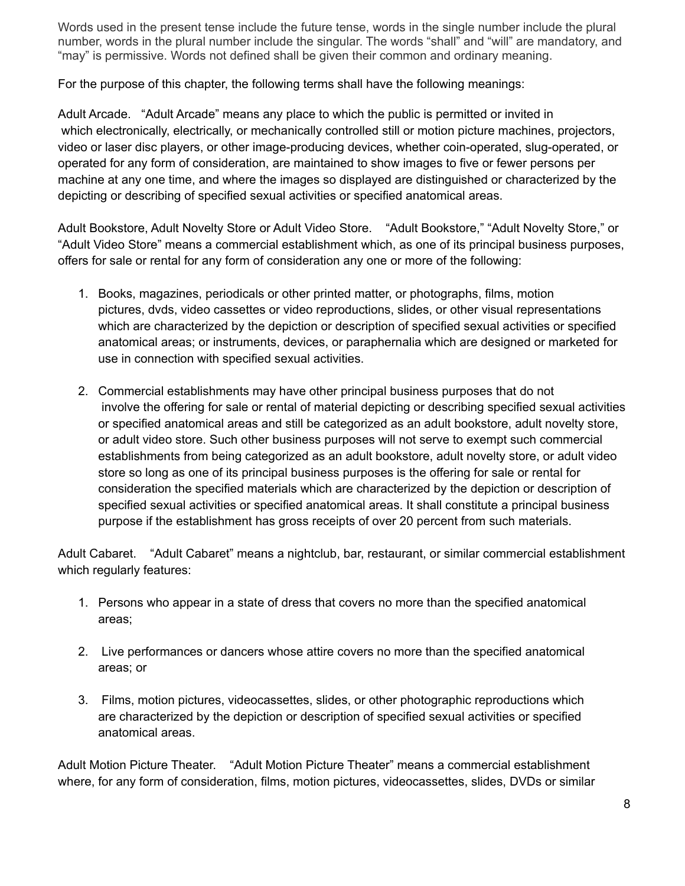Words used in the present tense include the future tense, words in the single number include the plural number, words in the plural number include the singular. The words "shall" and "will" are mandatory, and "may" is permissive. Words not defined shall be given their common and ordinary meaning.

For the purpose of this chapter, the following terms shall have the following meanings:

Adult Arcade. "Adult Arcade" means any place to which the public is permitted or invited in which electronically, electrically, or mechanically controlled still or motion picture machines, projectors, video or laser disc players, or other image-producing devices, whether coin-operated, slug-operated, or operated for any form of consideration, are maintained to show images to five or fewer persons per machine at any one time, and where the images so displayed are distinguished or characterized by the depicting or describing of specified sexual activities or specified anatomical areas.

Adult Bookstore, Adult Novelty Store or Adult Video Store. "Adult Bookstore," "Adult Novelty Store," or "Adult Video Store" means a commercial establishment which, as one of its principal business purposes, offers for sale or rental for any form of consideration any one or more of the following:

- 1. Books, magazines, periodicals or other printed matter, or photographs, films, motion pictures, dvds, video cassettes or video reproductions, slides, or other visual representations which are characterized by the depiction or description of specified sexual activities or specified anatomical areas; or instruments, devices, or paraphernalia which are designed or marketed for use in connection with specified sexual activities.
- 2. Commercial establishments may have other principal business purposes that do not involve the offering for sale or rental of material depicting or describing specified sexual activities or specified anatomical areas and still be categorized as an adult bookstore, adult novelty store, or adult video store. Such other business purposes will not serve to exempt such commercial establishments from being categorized as an adult bookstore, adult novelty store, or adult video store so long as one of its principal business purposes is the offering for sale or rental for consideration the specified materials which are characterized by the depiction or description of specified sexual activities or specified anatomical areas. It shall constitute a principal business purpose if the establishment has gross receipts of over 20 percent from such materials.

Adult Cabaret. "Adult Cabaret" means a nightclub, bar, restaurant, or similar commercial establishment which regularly features:

- 1. Persons who appear in a state of dress that covers no more than the specified anatomical areas;
- 2. Live performances or dancers whose attire covers no more than the specified anatomical areas; or
- 3. Films, motion pictures, videocassettes, slides, or other photographic reproductions which are characterized by the depiction or description of specified sexual activities or specified anatomical areas.

Adult Motion Picture Theater. "Adult Motion Picture Theater" means a commercial establishment where, for any form of consideration, films, motion pictures, videocassettes, slides, DVDs or similar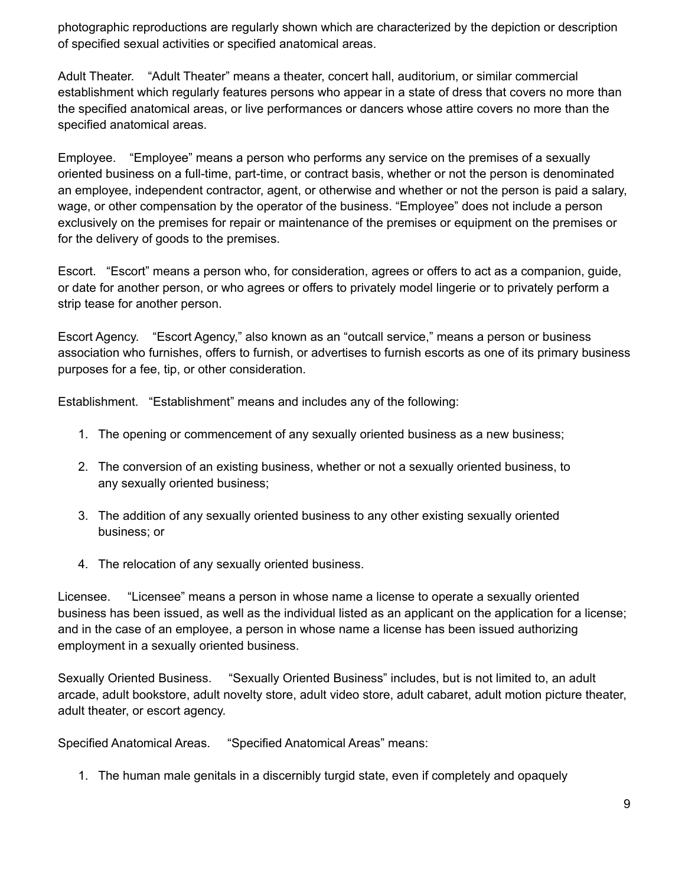photographic reproductions are regularly shown which are characterized by the depiction or description of specified sexual activities or specified anatomical areas.

Adult Theater. "Adult Theater" means a theater, concert hall, auditorium, or similar commercial establishment which regularly features persons who appear in a state of dress that covers no more than the specified anatomical areas, or live performances or dancers whose attire covers no more than the specified anatomical areas.

Employee. "Employee" means a person who performs any service on the premises of a sexually oriented business on a full-time, part-time, or contract basis, whether or not the person is denominated an employee, independent contractor, agent, or otherwise and whether or not the person is paid a salary, wage, or other compensation by the operator of the business. "Employee" does not include a person exclusively on the premises for repair or maintenance of the premises or equipment on the premises or for the delivery of goods to the premises.

Escort. "Escort" means a person who, for consideration, agrees or offers to act as a companion, guide, or date for another person, or who agrees or offers to privately model lingerie or to privately perform a strip tease for another person.

Escort Agency. "Escort Agency," also known as an "outcall service," means a person or business association who furnishes, offers to furnish, or advertises to furnish escorts as one of its primary business purposes for a fee, tip, or other consideration.

Establishment. "Establishment" means and includes any of the following:

- 1. The opening or commencement of any sexually oriented business as a new business;
- 2. The conversion of an existing business, whether or not a sexually oriented business, to any sexually oriented business;
- 3. The addition of any sexually oriented business to any other existing sexually oriented business; or
- 4. The relocation of any sexually oriented business.

Licensee. "Licensee" means a person in whose name a license to operate a sexually oriented business has been issued, as well as the individual listed as an applicant on the application for a license; and in the case of an employee, a person in whose name a license has been issued authorizing employment in a sexually oriented business.

Sexually Oriented Business. "Sexually Oriented Business" includes, but is not limited to, an adult arcade, adult bookstore, adult novelty store, adult video store, adult cabaret, adult motion picture theater, adult theater, or escort agency.

Specified Anatomical Areas. "Specified Anatomical Areas" means:

1. The human male genitals in a discernibly turgid state, even if completely and opaquely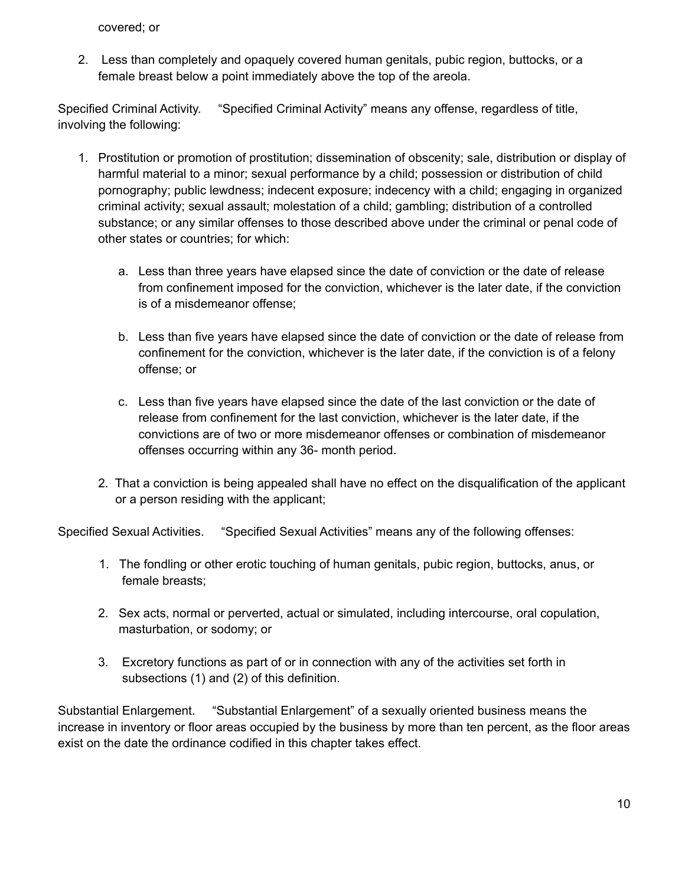covered; or

2. Less than completely and opaquely covered human genitals, pubic region, buttocks, or a female breast below a point immediately above the top of the areola.

Specified Criminal Activity. "Specified Criminal Activity" means any offense, regardless of title, involving the following:

- 1. Prostitution or promotion of prostitution; dissemination of obscenity; sale, distribution or display of harmful material to a minor; sexual performance by a child; possession or distribution of child pornography; public lewdness; indecent exposure; indecency with a child; engaging in organized criminal activity; sexual assault; molestation of a child; gambling; distribution of a controlled substance; or any similar offenses to those described above under the criminal or penal code of other states or countries; for which:
	- a. Less than three years have elapsed since the date of conviction or the date of release from confinement imposed for the conviction, whichever is the later date, if the conviction is of a misdemeanor offense;
	- b. Less than five years have elapsed since the date of conviction or the date of release from confinement for the conviction, whichever is the later date, if the conviction is of a felony offense; or
	- c. Less than five years have elapsed since the date of the last conviction or the date of release from confinement for the last conviction, whichever is the later date, if the convictions are of two or more misdemeanor offenses or combination of misdemeanor offenses occurring within any 36- month period.
	- 2. That a conviction is being appealed shall have no effect on the disqualification of the applicant or a person residing with the applicant;

Specified Sexual Activities. "Specified Sexual Activities" means any of the following offenses:

- 1. The fondling or other erotic touching of human genitals, pubic region, buttocks, anus, or female breasts;
- 2. Sex acts, normal or perverted, actual or simulated, including intercourse, oral copulation, masturbation, or sodomy; or
- 3. Excretory functions as part of or in connection with any of the activities set forth in subsections (1) and (2) of this definition.

Substantial Enlargement. "Substantial Enlargement" of a sexually oriented business means the increase in inventory or floor areas occupied by the business by more than ten percent, as the floor areas exist on the date the ordinance codified in this chapter takes effect.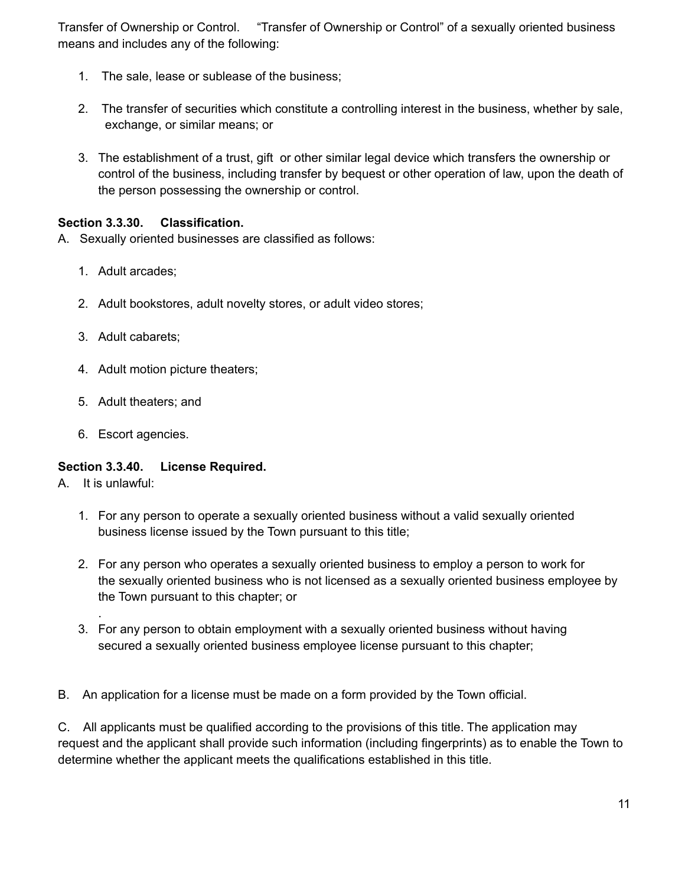Transfer of Ownership or Control. "Transfer of Ownership or Control" of a sexually oriented business means and includes any of the following:

- 1. The sale, lease or sublease of the business;
- 2. The transfer of securities which constitute a controlling interest in the business, whether by sale, exchange, or similar means; or
- 3. The establishment of a trust, gift or other similar legal device which transfers the ownership or control of the business, including transfer by bequest or other operation of law, upon the death of the person possessing the ownership or control.

#### **Section 3.3.30. Classification.**

- A. Sexually oriented businesses are classified as follows:
	- 1. Adult arcades;
	- 2. Adult bookstores, adult novelty stores, or adult video stores;
	- 3. Adult cabarets;
	- 4. Adult motion picture theaters;
	- 5. Adult theaters; and
	- 6. Escort agencies.

#### **Section 3.3.40. License Required.**

A. It is unlawful:

.

- 1. For any person to operate a sexually oriented business without a valid sexually oriented business license issued by the Town pursuant to this title;
- 2. For any person who operates a sexually oriented business to employ a person to work for the sexually oriented business who is not licensed as a sexually oriented business employee by the Town pursuant to this chapter; or
- 3. For any person to obtain employment with a sexually oriented business without having secured a sexually oriented business employee license pursuant to this chapter;

B. An application for a license must be made on a form provided by the Town official.

C. All applicants must be qualified according to the provisions of this title. The application may request and the applicant shall provide such information (including fingerprints) as to enable the Town to determine whether the applicant meets the qualifications established in this title.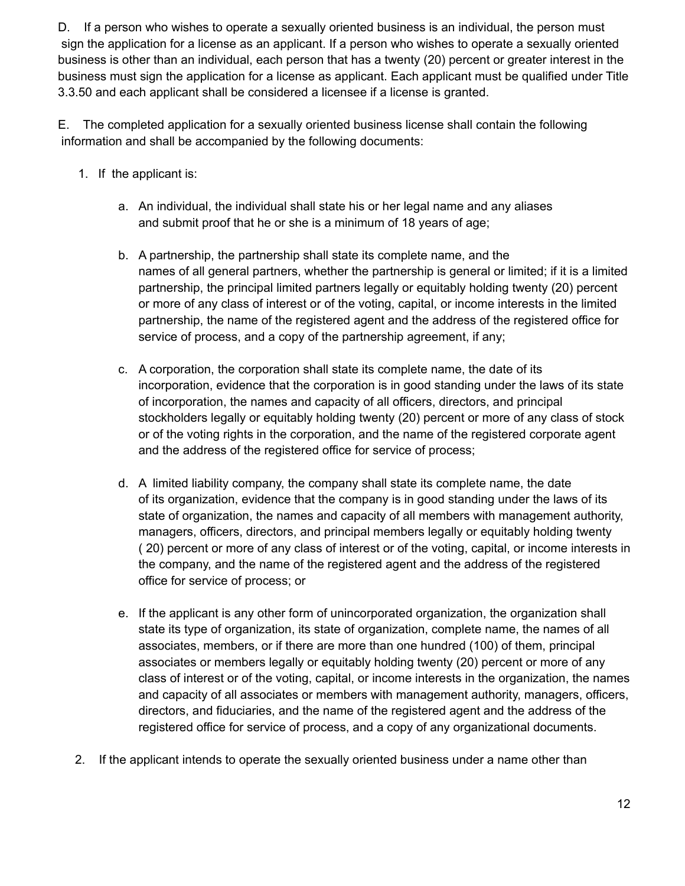D. If a person who wishes to operate a sexually oriented business is an individual, the person must sign the application for a license as an applicant. If a person who wishes to operate a sexually oriented business is other than an individual, each person that has a twenty (20) percent or greater interest in the business must sign the application for a license as applicant. Each applicant must be qualified under Title 3.3.50 and each applicant shall be considered a licensee if a license is granted.

E. The completed application for a sexually oriented business license shall contain the following information and shall be accompanied by the following documents:

- 1. If the applicant is:
	- a. An individual, the individual shall state his or her legal name and any aliases and submit proof that he or she is a minimum of 18 years of age;
	- b. A partnership, the partnership shall state its complete name, and the names of all general partners, whether the partnership is general or limited; if it is a limited partnership, the principal limited partners legally or equitably holding twenty (20) percent or more of any class of interest or of the voting, capital, or income interests in the limited partnership, the name of the registered agent and the address of the registered office for service of process, and a copy of the partnership agreement, if any;
	- c. A corporation, the corporation shall state its complete name, the date of its incorporation, evidence that the corporation is in good standing under the laws of its state of incorporation, the names and capacity of all officers, directors, and principal stockholders legally or equitably holding twenty (20) percent or more of any class of stock or of the voting rights in the corporation, and the name of the registered corporate agent and the address of the registered office for service of process;
	- d. A limited liability company, the company shall state its complete name, the date of its organization, evidence that the company is in good standing under the laws of its state of organization, the names and capacity of all members with management authority, managers, officers, directors, and principal members legally or equitably holding twenty ( 20) percent or more of any class of interest or of the voting, capital, or income interests in the company, and the name of the registered agent and the address of the registered office for service of process; or
	- e. If the applicant is any other form of unincorporated organization, the organization shall state its type of organization, its state of organization, complete name, the names of all associates, members, or if there are more than one hundred (100) of them, principal associates or members legally or equitably holding twenty (20) percent or more of any class of interest or of the voting, capital, or income interests in the organization, the names and capacity of all associates or members with management authority, managers, officers, directors, and fiduciaries, and the name of the registered agent and the address of the registered office for service of process, and a copy of any organizational documents.
- 2. If the applicant intends to operate the sexually oriented business under a name other than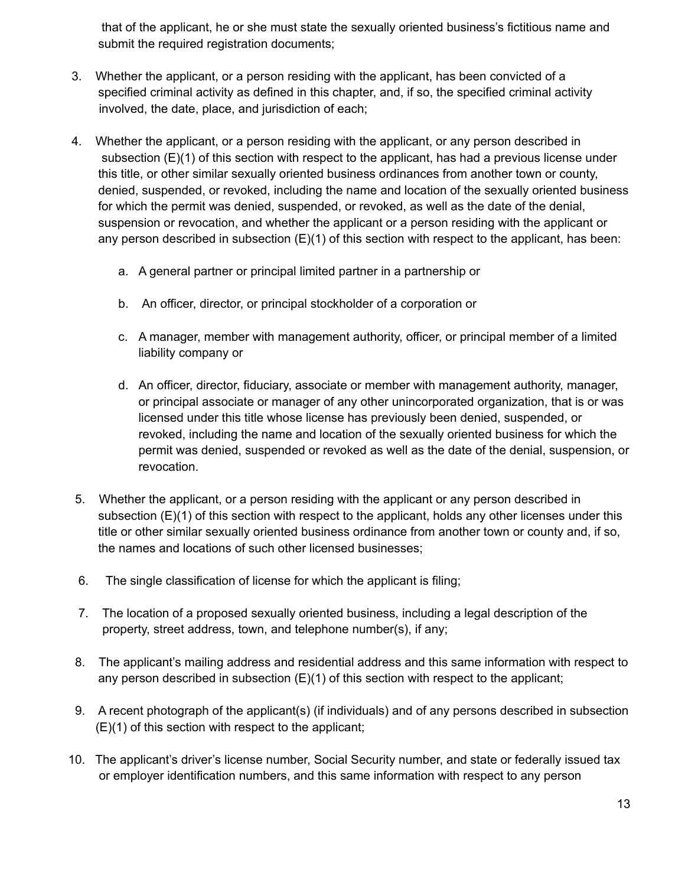that of the applicant, he or she must state the sexually oriented business's fictitious name and submit the required registration documents;

- 3. Whether the applicant, or a person residing with the applicant, has been convicted of a specified criminal activity as defined in this chapter, and, if so, the specified criminal activity involved, the date, place, and jurisdiction of each;
- 4. Whether the applicant, or a person residing with the applicant, or any person described in subsection (E)(1) of this section with respect to the applicant, has had a previous license under this title, or other similar sexually oriented business ordinances from another town or county, denied, suspended, or revoked, including the name and location of the sexually oriented business for which the permit was denied, suspended, or revoked, as well as the date of the denial, suspension or revocation, and whether the applicant or a person residing with the applicant or any person described in subsection  $(E)(1)$  of this section with respect to the applicant, has been:
	- a. A general partner or principal limited partner in a partnership or
	- b. An officer, director, or principal stockholder of a corporation or
	- c. A manager, member with management authority, officer, or principal member of a limited liability company or
	- d. An officer, director, fiduciary, associate or member with management authority, manager, or principal associate or manager of any other unincorporated organization, that is or was licensed under this title whose license has previously been denied, suspended, or revoked, including the name and location of the sexually oriented business for which the permit was denied, suspended or revoked as well as the date of the denial, suspension, or revocation.
- 5. Whether the applicant, or a person residing with the applicant or any person described in subsection  $(E)(1)$  of this section with respect to the applicant, holds any other licenses under this title or other similar sexually oriented business ordinance from another town or county and, if so, the names and locations of such other licensed businesses;
- 6. The single classification of license for which the applicant is filing;
- 7. The location of a proposed sexually oriented business, including a legal description of the property, street address, town, and telephone number(s), if any;
- 8. The applicant's mailing address and residential address and this same information with respect to any person described in subsection (E)(1) of this section with respect to the applicant;
- 9. A recent photograph of the applicant(s) (if individuals) and of any persons described in subsection (E)(1) of this section with respect to the applicant;
- 10. The applicant's driver's license number, Social Security number, and state or federally issued tax or employer identification numbers, and this same information with respect to any person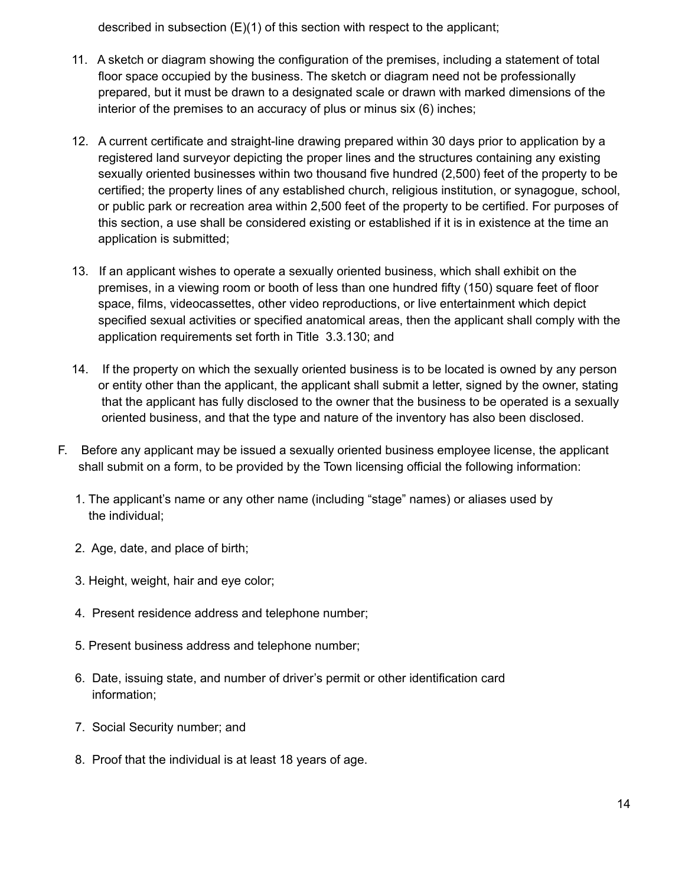described in subsection (E)(1) of this section with respect to the applicant;

- 11. A sketch or diagram showing the configuration of the premises, including a statement of total floor space occupied by the business. The sketch or diagram need not be professionally prepared, but it must be drawn to a designated scale or drawn with marked dimensions of the interior of the premises to an accuracy of plus or minus six (6) inches;
- 12. A current certificate and straight-line drawing prepared within 30 days prior to application by a registered land surveyor depicting the proper lines and the structures containing any existing sexually oriented businesses within two thousand five hundred (2,500) feet of the property to be certified; the property lines of any established church, religious institution, or synagogue, school, or public park or recreation area within 2,500 feet of the property to be certified. For purposes of this section, a use shall be considered existing or established if it is in existence at the time an application is submitted;
- 13. If an applicant wishes to operate a sexually oriented business, which shall exhibit on the premises, in a viewing room or booth of less than one hundred fifty (150) square feet of floor space, films, videocassettes, other video reproductions, or live entertainment which depict specified sexual activities or specified anatomical areas, then the applicant shall comply with the application requirements set forth in Title 3.3.130; and
- 14. If the property on which the sexually oriented business is to be located is owned by any person or entity other than the applicant, the applicant shall submit a letter, signed by the owner, stating that the applicant has fully disclosed to the owner that the business to be operated is a sexually oriented business, and that the type and nature of the inventory has also been disclosed.
- F. Before any applicant may be issued a sexually oriented business employee license, the applicant shall submit on a form, to be provided by the Town licensing official the following information:
	- 1. The applicant's name or any other name (including "stage" names) or aliases used by the individual;
	- 2. Age, date, and place of birth;
	- 3. Height, weight, hair and eye color;
	- 4. Present residence address and telephone number;
	- 5. Present business address and telephone number;
	- 6. Date, issuing state, and number of driver's permit or other identification card information;
	- 7. Social Security number; and
	- 8. Proof that the individual is at least 18 years of age.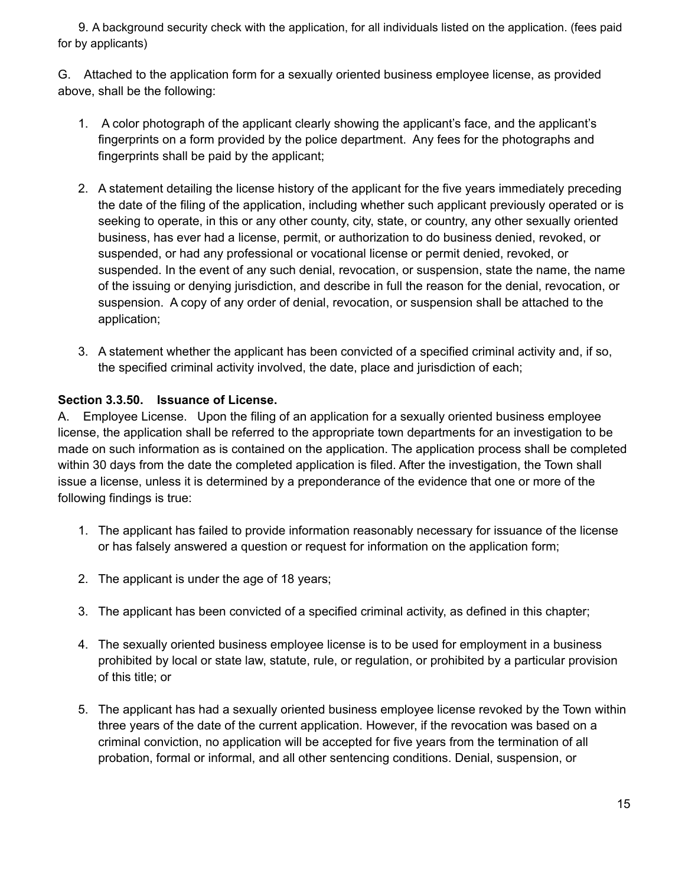9. A background security check with the application, for all individuals listed on the application. (fees paid for by applicants)

G. Attached to the application form for a sexually oriented business employee license, as provided above, shall be the following:

- 1. A color photograph of the applicant clearly showing the applicant's face, and the applicant's fingerprints on a form provided by the police department. Any fees for the photographs and fingerprints shall be paid by the applicant;
- 2. A statement detailing the license history of the applicant for the five years immediately preceding the date of the filing of the application, including whether such applicant previously operated or is seeking to operate, in this or any other county, city, state, or country, any other sexually oriented business, has ever had a license, permit, or authorization to do business denied, revoked, or suspended, or had any professional or vocational license or permit denied, revoked, or suspended. In the event of any such denial, revocation, or suspension, state the name, the name of the issuing or denying jurisdiction, and describe in full the reason for the denial, revocation, or suspension. A copy of any order of denial, revocation, or suspension shall be attached to the application;
- 3. A statement whether the applicant has been convicted of a specified criminal activity and, if so, the specified criminal activity involved, the date, place and jurisdiction of each;

#### **Section 3.3.50. Issuance of License.**

A. Employee License. Upon the filing of an application for a sexually oriented business employee license, the application shall be referred to the appropriate town departments for an investigation to be made on such information as is contained on the application. The application process shall be completed within 30 days from the date the completed application is filed. After the investigation, the Town shall issue a license, unless it is determined by a preponderance of the evidence that one or more of the following findings is true:

- 1. The applicant has failed to provide information reasonably necessary for issuance of the license or has falsely answered a question or request for information on the application form;
- 2. The applicant is under the age of 18 years;
- 3. The applicant has been convicted of a specified criminal activity, as defined in this chapter;
- 4. The sexually oriented business employee license is to be used for employment in a business prohibited by local or state law, statute, rule, or regulation, or prohibited by a particular provision of this title; or
- 5. The applicant has had a sexually oriented business employee license revoked by the Town within three years of the date of the current application. However, if the revocation was based on a criminal conviction, no application will be accepted for five years from the termination of all probation, formal or informal, and all other sentencing conditions. Denial, suspension, or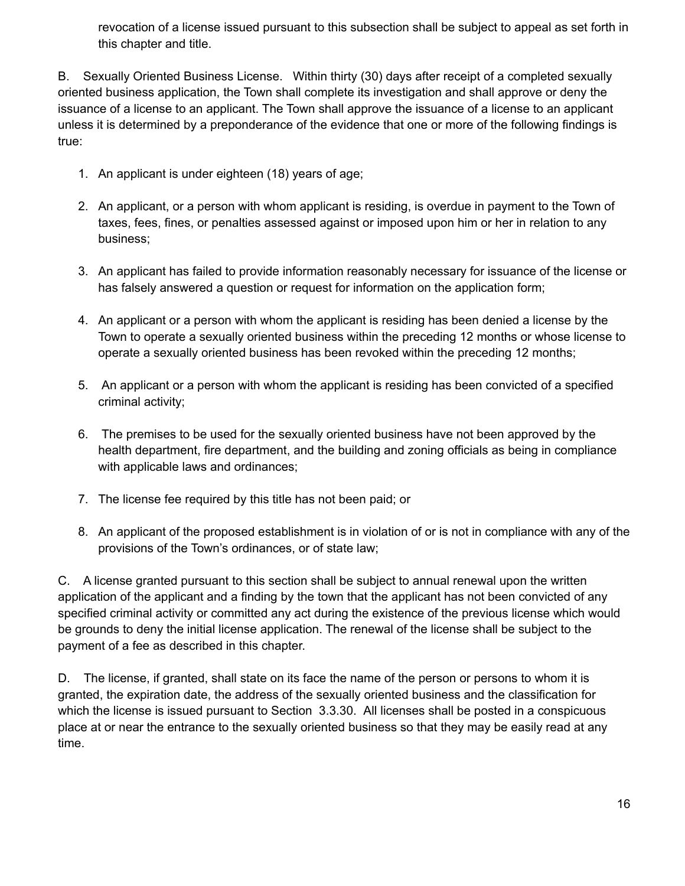revocation of a license issued pursuant to this subsection shall be subject to appeal as set forth in this chapter and title.

B. Sexually Oriented Business License. Within thirty (30) days after receipt of a completed sexually oriented business application, the Town shall complete its investigation and shall approve or deny the issuance of a license to an applicant. The Town shall approve the issuance of a license to an applicant unless it is determined by a preponderance of the evidence that one or more of the following findings is true:

- 1. An applicant is under eighteen (18) years of age;
- 2. An applicant, or a person with whom applicant is residing, is overdue in payment to the Town of taxes, fees, fines, or penalties assessed against or imposed upon him or her in relation to any business;
- 3. An applicant has failed to provide information reasonably necessary for issuance of the license or has falsely answered a question or request for information on the application form;
- 4. An applicant or a person with whom the applicant is residing has been denied a license by the Town to operate a sexually oriented business within the preceding 12 months or whose license to operate a sexually oriented business has been revoked within the preceding 12 months;
- 5. An applicant or a person with whom the applicant is residing has been convicted of a specified criminal activity;
- 6. The premises to be used for the sexually oriented business have not been approved by the health department, fire department, and the building and zoning officials as being in compliance with applicable laws and ordinances;
- 7. The license fee required by this title has not been paid; or
- 8. An applicant of the proposed establishment is in violation of or is not in compliance with any of the provisions of the Town's ordinances, or of state law;

C. A license granted pursuant to this section shall be subject to annual renewal upon the written application of the applicant and a finding by the town that the applicant has not been convicted of any specified criminal activity or committed any act during the existence of the previous license which would be grounds to deny the initial license application. The renewal of the license shall be subject to the payment of a fee as described in this chapter.

D. The license, if granted, shall state on its face the name of the person or persons to whom it is granted, the expiration date, the address of the sexually oriented business and the classification for which the license is issued pursuant to Section 3.3.30. All licenses shall be posted in a conspicuous place at or near the entrance to the sexually oriented business so that they may be easily read at any time.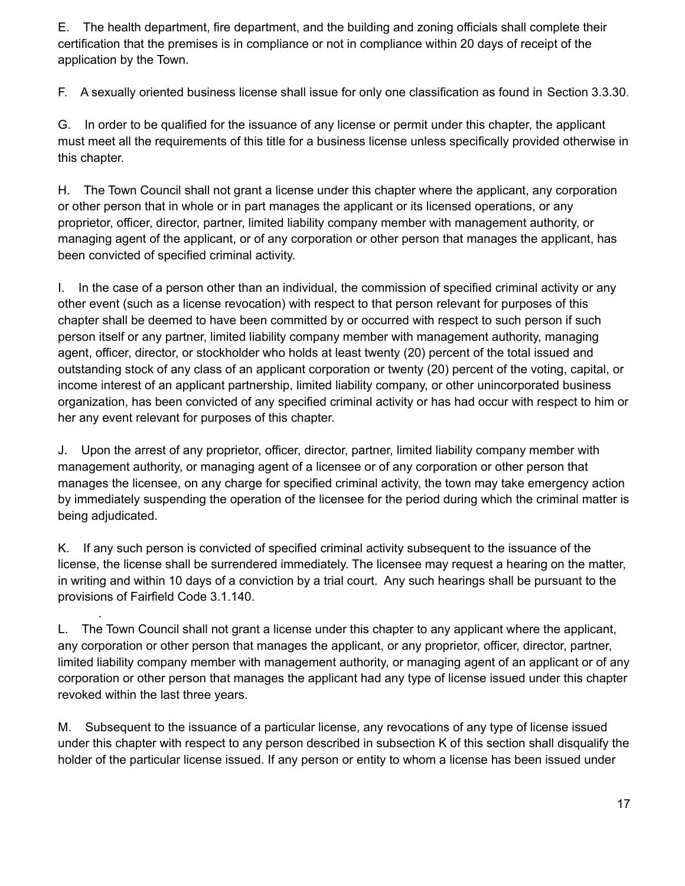E. The health department, fire department, and the building and zoning officials shall complete their certification that the premises is in compliance or not in compliance within 20 days of receipt of the application by the Town.

F. A sexually oriented business license shall issue for only one classification as found in Section 3.3.30.

G. In order to be qualified for the issuance of any license or permit under this chapter, the applicant must meet all the requirements of this title for a business license unless specifically provided otherwise in this chapter.

H. The Town Council shall not grant a license under this chapter where the applicant, any corporation or other person that in whole or in part manages the applicant or its licensed operations, or any proprietor, officer, director, partner, limited liability company member with management authority, or managing agent of the applicant, or of any corporation or other person that manages the applicant, has been convicted of specified criminal activity.

I. In the case of a person other than an individual, the commission of specified criminal activity or any other event (such as a license revocation) with respect to that person relevant for purposes of this chapter shall be deemed to have been committed by or occurred with respect to such person if such person itself or any partner, limited liability company member with management authority, managing agent, officer, director, or stockholder who holds at least twenty (20) percent of the total issued and outstanding stock of any class of an applicant corporation or twenty (20) percent of the voting, capital, or income interest of an applicant partnership, limited liability company, or other unincorporated business organization, has been convicted of any specified criminal activity or has had occur with respect to him or her any event relevant for purposes of this chapter.

J. Upon the arrest of any proprietor, officer, director, partner, limited liability company member with management authority, or managing agent of a licensee or of any corporation or other person that manages the licensee, on any charge for specified criminal activity, the town may take emergency action by immediately suspending the operation of the licensee for the period during which the criminal matter is being adjudicated.

K. If any such person is convicted of specified criminal activity subsequent to the issuance of the license, the license shall be surrendered immediately. The licensee may request a hearing on the matter, in writing and within 10 days of a conviction by a trial court. Any such hearings shall be pursuant to the provisions of Fairfield Code 3.1.140.

.

L. The Town Council shall not grant a license under this chapter to any applicant where the applicant, any corporation or other person that manages the applicant, or any proprietor, officer, director, partner, limited liability company member with management authority, or managing agent of an applicant or of any corporation or other person that manages the applicant had any type of license issued under this chapter revoked within the last three years.

M. Subsequent to the issuance of a particular license, any revocations of any type of license issued under this chapter with respect to any person described in subsection K of this section shall disqualify the holder of the particular license issued. If any person or entity to whom a license has been issued under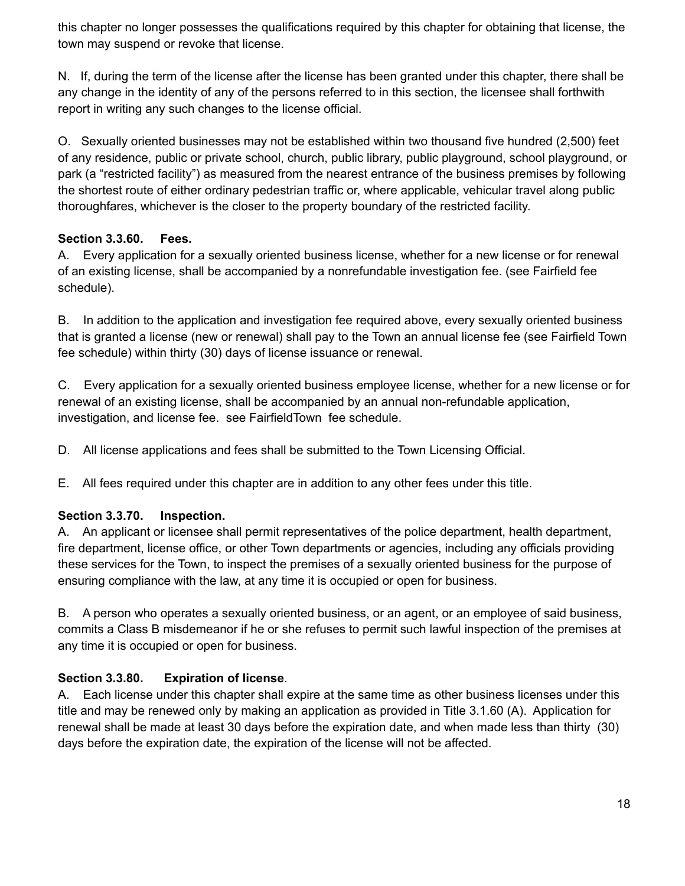this chapter no longer possesses the qualifications required by this chapter for obtaining that license, the town may suspend or revoke that license.

N. If, during the term of the license after the license has been granted under this chapter, there shall be any change in the identity of any of the persons referred to in this section, the licensee shall forthwith report in writing any such changes to the license official.

O. Sexually oriented businesses may not be established within two thousand five hundred (2,500) feet of any residence, public or private school, church, public library, public playground, school playground, or park (a "restricted facility") as measured from the nearest entrance of the business premises by following the shortest route of either ordinary pedestrian traffic or, where applicable, vehicular travel along public thoroughfares, whichever is the closer to the property boundary of the restricted facility.

# **Section 3.3.60. Fees.**

A. Every application for a sexually oriented business license, whether for a new license or for renewal of an existing license, shall be accompanied by a nonrefundable investigation fee. (see Fairfield fee schedule).

B. In addition to the application and investigation fee required above, every sexually oriented business that is granted a license (new or renewal) shall pay to the Town an annual license fee (see Fairfield Town fee schedule) within thirty (30) days of license issuance or renewal.

C. Every application for a sexually oriented business employee license, whether for a new license or for renewal of an existing license, shall be accompanied by an annual non-refundable application, investigation, and license fee. see FairfieldTown fee schedule.

D. All license applications and fees shall be submitted to the Town Licensing Official.

E. All fees required under this chapter are in addition to any other fees under this title.

# **Section 3.3.70. Inspection.**

A. An applicant or licensee shall permit representatives of the police department, health department, fire department, license office, or other Town departments or agencies, including any officials providing these services for the Town, to inspect the premises of a sexually oriented business for the purpose of ensuring compliance with the law, at any time it is occupied or open for business.

B. A person who operates a sexually oriented business, or an agent, or an employee of said business, commits a Class B misdemeanor if he or she refuses to permit such lawful inspection of the premises at any time it is occupied or open for business.

# **Section 3.3.80. Expiration of license**.

A. Each license under this chapter shall expire at the same time as other business licenses under this title and may be renewed only by making an application as provided in Title 3.1.60 (A). Application for renewal shall be made at least 30 days before the expiration date, and when made less than thirty (30) days before the expiration date, the expiration of the license will not be affected.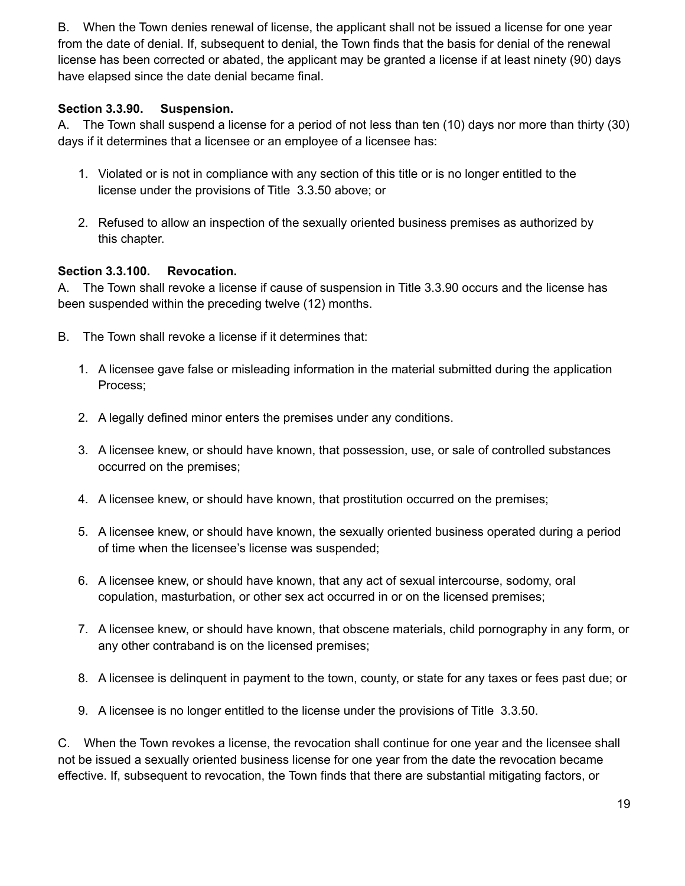B. When the Town denies renewal of license, the applicant shall not be issued a license for one year from the date of denial. If, subsequent to denial, the Town finds that the basis for denial of the renewal license has been corrected or abated, the applicant may be granted a license if at least ninety (90) days have elapsed since the date denial became final.

# **Section 3.3.90. Suspension.**

A. The Town shall suspend a license for a period of not less than ten (10) days nor more than thirty (30) days if it determines that a licensee or an employee of a licensee has:

- 1. Violated or is not in compliance with any section of this title or is no longer entitled to the license under the provisions of Title 3.3.50 above; or
- 2. Refused to allow an inspection of the sexually oriented business premises as authorized by this chapter.

#### **Section 3.3.100. Revocation.**

A. The Town shall revoke a license if cause of suspension in Title 3.3.90 occurs and the license has been suspended within the preceding twelve (12) months.

- B. The Town shall revoke a license if it determines that:
	- 1. A licensee gave false or misleading information in the material submitted during the application Process;
	- 2. A legally defined minor enters the premises under any conditions.
	- 3. A licensee knew, or should have known, that possession, use, or sale of controlled substances occurred on the premises;
	- 4. A licensee knew, or should have known, that prostitution occurred on the premises;
	- 5. A licensee knew, or should have known, the sexually oriented business operated during a period of time when the licensee's license was suspended;
	- 6. A licensee knew, or should have known, that any act of sexual intercourse, sodomy, oral copulation, masturbation, or other sex act occurred in or on the licensed premises;
	- 7. A licensee knew, or should have known, that obscene materials, child pornography in any form, or any other contraband is on the licensed premises;
	- 8. A licensee is delinquent in payment to the town, county, or state for any taxes or fees past due; or
	- 9. A licensee is no longer entitled to the license under the provisions of Title 3.3.50.

C. When the Town revokes a license, the revocation shall continue for one year and the licensee shall not be issued a sexually oriented business license for one year from the date the revocation became effective. If, subsequent to revocation, the Town finds that there are substantial mitigating factors, or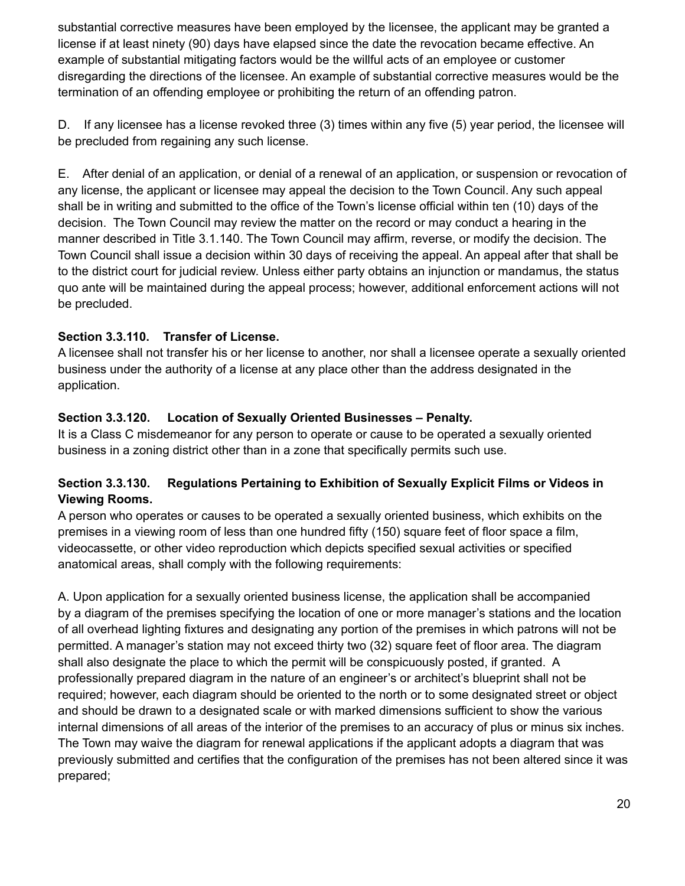substantial corrective measures have been employed by the licensee, the applicant may be granted a license if at least ninety (90) days have elapsed since the date the revocation became effective. An example of substantial mitigating factors would be the willful acts of an employee or customer disregarding the directions of the licensee. An example of substantial corrective measures would be the termination of an offending employee or prohibiting the return of an offending patron.

D. If any licensee has a license revoked three (3) times within any five (5) year period, the licensee will be precluded from regaining any such license.

E. After denial of an application, or denial of a renewal of an application, or suspension or revocation of any license, the applicant or licensee may appeal the decision to the Town Council. Any such appeal shall be in writing and submitted to the office of the Town's license official within ten (10) days of the decision. The Town Council may review the matter on the record or may conduct a hearing in the manner described in Title 3.1.140. The Town Council may affirm, reverse, or modify the decision. The Town Council shall issue a decision within 30 days of receiving the appeal. An appeal after that shall be to the district court for judicial review. Unless either party obtains an injunction or mandamus, the status quo ante will be maintained during the appeal process; however, additional enforcement actions will not be precluded.

# **Section 3.3.110. Transfer of License.**

A licensee shall not transfer his or her license to another, nor shall a licensee operate a sexually oriented business under the authority of a license at any place other than the address designated in the application.

# **Section 3.3.120. Location of Sexually Oriented Businesses – Penalty.**

It is a Class C misdemeanor for any person to operate or cause to be operated a sexually oriented business in a zoning district other than in a zone that specifically permits such use.

# **Section 3.3.130. Regulations Pertaining to Exhibition of Sexually Explicit Films or Videos in Viewing Rooms.**

A person who operates or causes to be operated a sexually oriented business, which exhibits on the premises in a viewing room of less than one hundred fifty (150) square feet of floor space a film, videocassette, or other video reproduction which depicts specified sexual activities or specified anatomical areas, shall comply with the following requirements:

A. Upon application for a sexually oriented business license, the application shall be accompanied by a diagram of the premises specifying the location of one or more manager's stations and the location of all overhead lighting fixtures and designating any portion of the premises in which patrons will not be permitted. A manager's station may not exceed thirty two (32) square feet of floor area. The diagram shall also designate the place to which the permit will be conspicuously posted, if granted. A professionally prepared diagram in the nature of an engineer's or architect's blueprint shall not be required; however, each diagram should be oriented to the north or to some designated street or object and should be drawn to a designated scale or with marked dimensions sufficient to show the various internal dimensions of all areas of the interior of the premises to an accuracy of plus or minus six inches. The Town may waive the diagram for renewal applications if the applicant adopts a diagram that was previously submitted and certifies that the configuration of the premises has not been altered since it was prepared;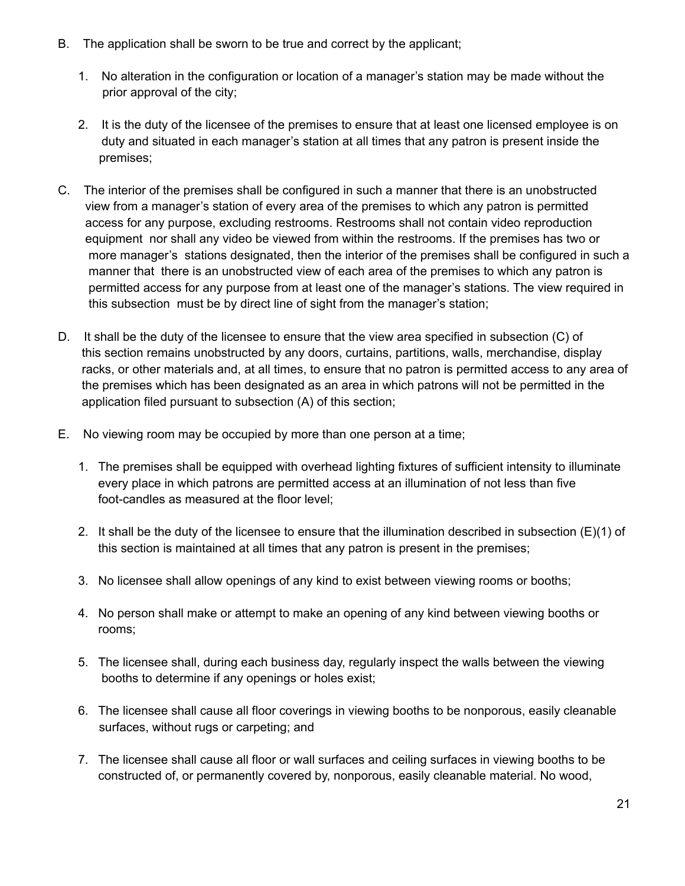- B. The application shall be sworn to be true and correct by the applicant;
	- 1. No alteration in the configuration or location of a manager's station may be made without the prior approval of the city;
	- 2. It is the duty of the licensee of the premises to ensure that at least one licensed employee is on duty and situated in each manager's station at all times that any patron is present inside the premises;
- C. The interior of the premises shall be configured in such a manner that there is an unobstructed view from a manager's station of every area of the premises to which any patron is permitted access for any purpose, excluding restrooms. Restrooms shall not contain video reproduction equipment nor shall any video be viewed from within the restrooms. If the premises has two or more manager's stations designated, then the interior of the premises shall be configured in such a manner that there is an unobstructed view of each area of the premises to which any patron is permitted access for any purpose from at least one of the manager's stations. The view required in this subsection must be by direct line of sight from the manager's station;
- D. It shall be the duty of the licensee to ensure that the view area specified in subsection (C) of this section remains unobstructed by any doors, curtains, partitions, walls, merchandise, display racks, or other materials and, at all times, to ensure that no patron is permitted access to any area of the premises which has been designated as an area in which patrons will not be permitted in the application filed pursuant to subsection (A) of this section;
- E. No viewing room may be occupied by more than one person at a time;
	- 1. The premises shall be equipped with overhead lighting fixtures of sufficient intensity to illuminate every place in which patrons are permitted access at an illumination of not less than five foot-candles as measured at the floor level;
	- 2. It shall be the duty of the licensee to ensure that the illumination described in subsection (E)(1) of this section is maintained at all times that any patron is present in the premises;
	- 3. No licensee shall allow openings of any kind to exist between viewing rooms or booths;
	- 4. No person shall make or attempt to make an opening of any kind between viewing booths or rooms;
	- 5. The licensee shall, during each business day, regularly inspect the walls between the viewing booths to determine if any openings or holes exist;
	- 6. The licensee shall cause all floor coverings in viewing booths to be nonporous, easily cleanable surfaces, without rugs or carpeting; and
	- 7. The licensee shall cause all floor or wall surfaces and ceiling surfaces in viewing booths to be constructed of, or permanently covered by, nonporous, easily cleanable material. No wood,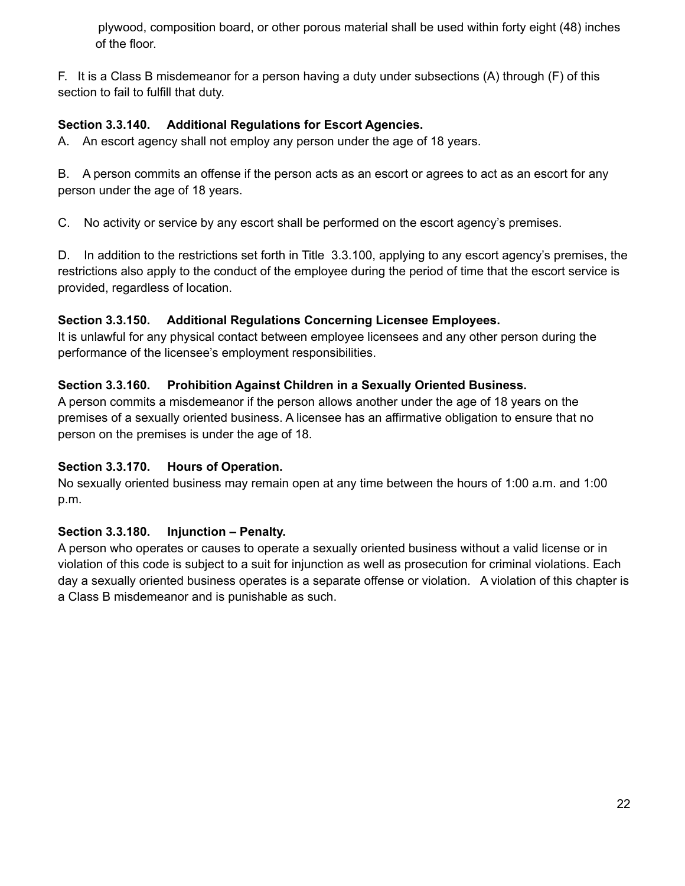plywood, composition board, or other porous material shall be used within forty eight (48) inches of the floor.

F. It is a Class B misdemeanor for a person having a duty under subsections (A) through (F) of this section to fail to fulfill that duty.

# **Section 3.3.140. Additional Regulations for Escort Agencies.**

A. An escort agency shall not employ any person under the age of 18 years.

B. A person commits an offense if the person acts as an escort or agrees to act as an escort for any person under the age of 18 years.

C. No activity or service by any escort shall be performed on the escort agency's premises.

D. In addition to the restrictions set forth in Title 3.3.100, applying to any escort agency's premises, the restrictions also apply to the conduct of the employee during the period of time that the escort service is provided, regardless of location.

#### **Section 3.3.150. Additional Regulations Concerning Licensee Employees.**

It is unlawful for any physical contact between employee licensees and any other person during the performance of the licensee's employment responsibilities.

# **Section 3.3.160. Prohibition Against Children in a Sexually Oriented Business.**

A person commits a misdemeanor if the person allows another under the age of 18 years on the premises of a sexually oriented business. A licensee has an affirmative obligation to ensure that no person on the premises is under the age of 18.

#### **Section 3.3.170. Hours of Operation.**

No sexually oriented business may remain open at any time between the hours of 1:00 a.m. and 1:00 p.m.

#### **Section 3.3.180. Injunction – Penalty.**

A person who operates or causes to operate a sexually oriented business without a valid license or in violation of this code is subject to a suit for injunction as well as prosecution for criminal violations. Each day a sexually oriented business operates is a separate offense or violation. A violation of this chapter is a Class B misdemeanor and is punishable as such.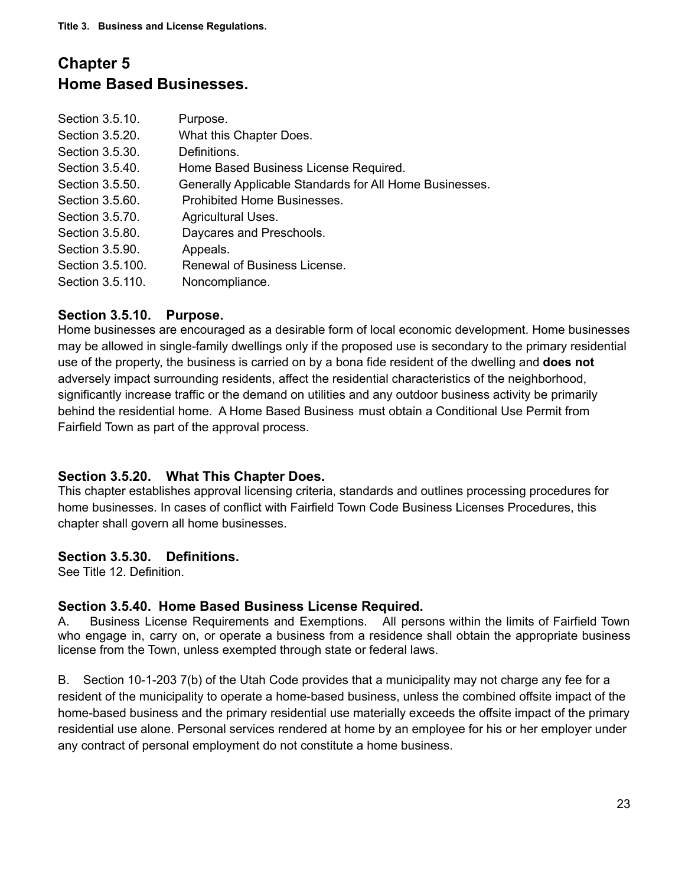# **Chapter 5 Home Based Businesses.**

| Section 3.5.10.  | Purpose.                                                |
|------------------|---------------------------------------------------------|
| Section 3.5.20.  | What this Chapter Does.                                 |
| Section 3.5.30.  | Definitions.                                            |
| Section 3.5.40.  | Home Based Business License Required.                   |
| Section 3.5.50.  | Generally Applicable Standards for All Home Businesses. |
| Section 3.5.60.  | Prohibited Home Businesses.                             |
| Section 3.5.70.  | Agricultural Uses.                                      |
| Section 3.5.80.  | Daycares and Preschools.                                |
| Section 3.5.90.  | Appeals.                                                |
| Section 3.5.100. | Renewal of Business License.                            |
| Section 3.5.110. | Noncompliance.                                          |

#### **Section 3.5.10. Purpose.**

Home businesses are encouraged as a desirable form of local economic development. Home businesses may be allowed in single-family dwellings only if the proposed use is secondary to the primary residential use of the property, the business is carried on by a bona fide resident of the dwelling and **does not** adversely impact surrounding residents, affect the residential characteristics of the neighborhood, significantly increase traffic or the demand on utilities and any outdoor business activity be primarily behind the residential home. A Home Based Business must obtain a Conditional Use Permit from Fairfield Town as part of the approval process.

#### **Section 3.5.20. What This Chapter Does.**

This chapter establishes approval licensing criteria, standards and outlines processing procedures for home businesses. In cases of conflict with Fairfield Town Code Business Licenses Procedures, this chapter shall govern all home businesses.

#### **Section 3.5.30. Definitions.**

See Title 12. Definition.

#### **Section 3.5.40. Home Based Business License Required.**

A. Business License Requirements and Exemptions. All persons within the limits of Fairfield Town who engage in, carry on, or operate a business from a residence shall obtain the appropriate business license from the Town, unless exempted through state or federal laws.

B. Section 10-1-203 7(b) of the Utah Code provides that a municipality may not charge any fee for a resident of the municipality to operate a home-based business, unless the combined offsite impact of the home-based business and the primary residential use materially exceeds the offsite impact of the primary residential use alone. Personal services rendered at home by an employee for his or her employer under any contract of personal employment do not constitute a home business.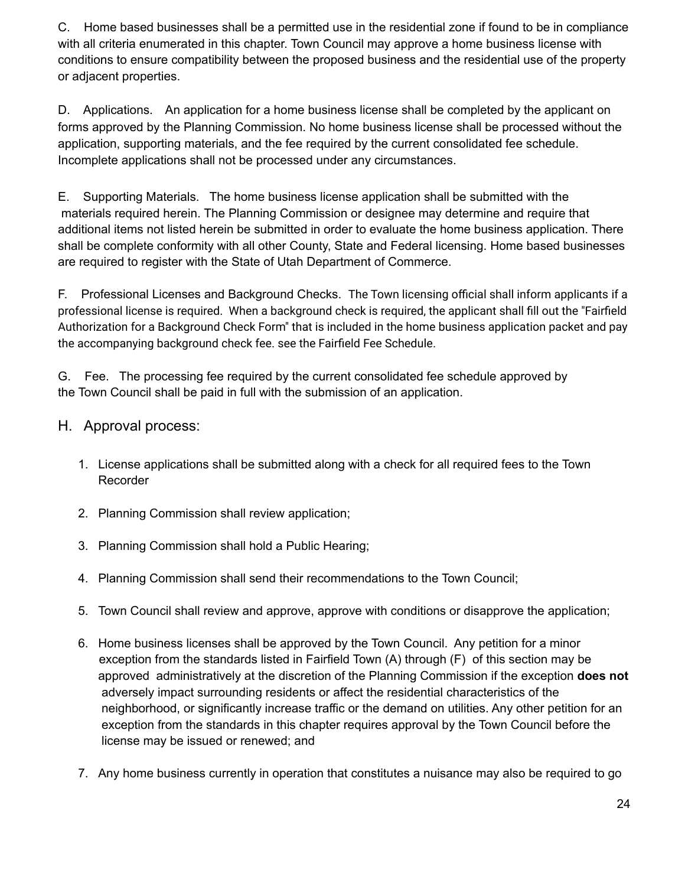C. Home based businesses shall be a permitted use in the residential zone if found to be in compliance with all criteria enumerated in this chapter. Town Council may approve a home business license with conditions to ensure compatibility between the proposed business and the residential use of the property or adjacent properties.

D. Applications. An application for a home business license shall be completed by the applicant on forms approved by the Planning Commission. No home business license shall be processed without the application, supporting materials, and the fee required by the current consolidated fee schedule. Incomplete applications shall not be processed under any circumstances.

E. Supporting Materials. The home business license application shall be submitted with the materials required herein. The Planning Commission or designee may determine and require that additional items not listed herein be submitted in order to evaluate the home business application. There shall be complete conformity with all other County, State and Federal licensing. Home based businesses are required to register with the State of Utah Department of Commerce.

F. Professional Licenses and Background Checks. The Town licensing official shall inform applicants if a professional license is required. When a background check is required, the applicant shall fill out the "Fairfield Authorization for a Background Check Form" that is included in the home business application packet and pay the accompanying background check fee. see the Fairfield Fee Schedule.

G. Fee. The processing fee required by the current consolidated fee schedule approved by the Town Council shall be paid in full with the submission of an application.

# H. Approval process:

- 1. License applications shall be submitted along with a check for all required fees to the Town Recorder
- 2. Planning Commission shall review application;
- 3. Planning Commission shall hold a Public Hearing;
- 4. Planning Commission shall send their recommendations to the Town Council;
- 5. Town Council shall review and approve, approve with conditions or disapprove the application;
- 6. Home business licenses shall be approved by the Town Council. Any petition for a minor exception from the standards listed in Fairfield Town (A) through (F) of this section may be approved administratively at the discretion of the Planning Commission if the exception **does not** adversely impact surrounding residents or affect the residential characteristics of the neighborhood, or significantly increase traffic or the demand on utilities. Any other petition for an exception from the standards in this chapter requires approval by the Town Council before the license may be issued or renewed; and
- 7. Any home business currently in operation that constitutes a nuisance may also be required to go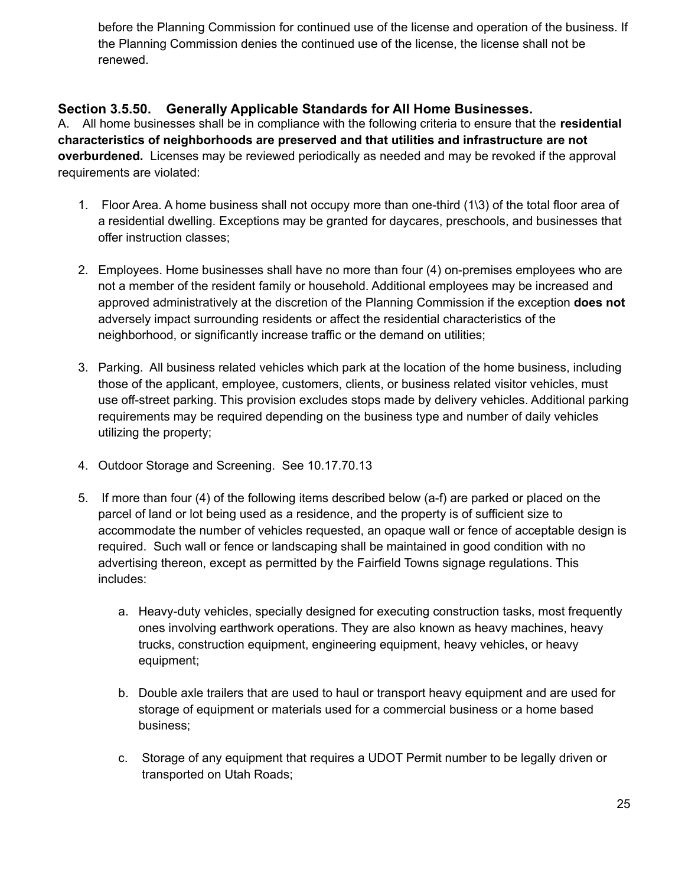before the Planning Commission for continued use of the license and operation of the business. If the Planning Commission denies the continued use of the license, the license shall not be renewed.

# **Section 3.5.50. Generally Applicable Standards for All Home Businesses.**

A. All home businesses shall be in compliance with the following criteria to ensure that the **residential characteristics of neighborhoods are preserved and that utilities and infrastructure are not overburdened.** Licenses may be reviewed periodically as needed and may be revoked if the approval requirements are violated:

- 1. Floor Area. A home business shall not occupy more than one-third (1\3) of the total floor area of a residential dwelling. Exceptions may be granted for daycares, preschools, and businesses that offer instruction classes;
- 2. Employees. Home businesses shall have no more than four (4) on-premises employees who are not a member of the resident family or household. Additional employees may be increased and approved administratively at the discretion of the Planning Commission if the exception **does not** adversely impact surrounding residents or affect the residential characteristics of the neighborhood, or significantly increase traffic or the demand on utilities;
- 3. Parking. All business related vehicles which park at the location of the home business, including those of the applicant, employee, customers, clients, or business related visitor vehicles, must use off-street parking. This provision excludes stops made by delivery vehicles. Additional parking requirements may be required depending on the business type and number of daily vehicles utilizing the property;
- 4. Outdoor Storage and Screening. See 10.17.70.13
- 5. If more than four (4) of the following items described below (a-f) are parked or placed on the parcel of land or lot being used as a residence, and the property is of sufficient size to accommodate the number of vehicles requested, an opaque wall or fence of acceptable design is required. Such wall or fence or landscaping shall be maintained in good condition with no advertising thereon, except as permitted by the Fairfield Towns signage regulations. This includes:
	- a. Heavy-duty [vehicles](https://en.wikipedia.org/wiki/Vehicle), specially designed for executing [construction](https://en.wikipedia.org/wiki/Construction) tasks, most frequently ones involving earthwork [operations](https://en.wikipedia.org/wiki/Earthworks_(engineering)). They are also known as heavy machines, heavy trucks, construction equipment, engineering equipment, heavy vehicles, or heavy equipment;
	- b. Double axle trailers that are used to haul or transport heavy equipment and are used for storage of equipment or materials used for a commercial business or a home based business;
	- c. Storage of any equipment that requires a UDOT Permit number to be legally driven or transported on Utah Roads;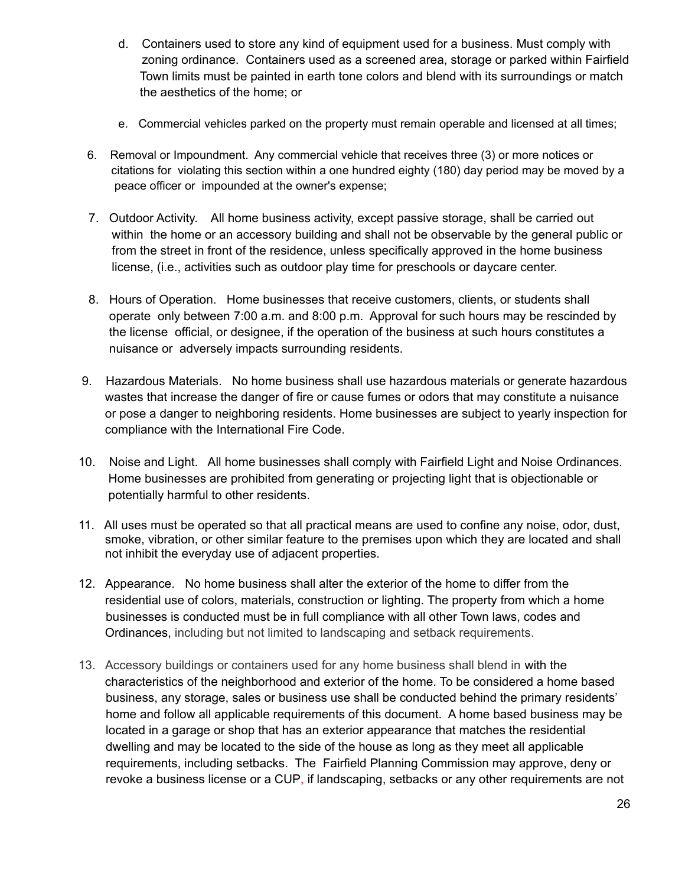- d. Containers used to store any kind of equipment used for a business. Must comply with zoning ordinance. Containers used as a screened area, storage or parked within Fairfield Town limits must be painted in earth tone colors and blend with its surroundings or match the aesthetics of the home; or
- e. Commercial vehicles parked on the property must remain operable and licensed at all times;
- 6. Removal or Impoundment. Any commercial vehicle that receives three (3) or more notices or citations for violating this section within a one hundred eighty (180) day period may be moved by a peace officer or impounded at the owner's expense;
- 7. Outdoor Activity. All home business activity, except passive storage, shall be carried out within the home or an accessory building and shall not be observable by the general public or from the street in front of the residence, unless specifically approved in the home business license, (i.e., activities such as outdoor play time for preschools or daycare center.
- 8. Hours of Operation. Home businesses that receive customers, clients, or students shall operate only between 7:00 a.m. and 8:00 p.m. Approval for such hours may be rescinded by the license official, or designee, if the operation of the business at such hours constitutes a nuisance or adversely impacts surrounding residents.
- 9. Hazardous Materials. No home business shall use hazardous materials or generate hazardous wastes that increase the danger of fire or cause fumes or odors that may constitute a nuisance or pose a danger to neighboring residents. Home businesses are subject to yearly inspection for compliance with the International Fire Code.
- 10. Noise and Light. All home businesses shall comply with Fairfield Light and Noise Ordinances. Home businesses are prohibited from generating or projecting light that is objectionable or potentially harmful to other residents.
- 11. All uses must be operated so that all practical means are used to confine any noise, odor, dust, smoke, vibration, or other similar feature to the premises upon which they are located and shall not inhibit the everyday use of adjacent properties.
- 12. Appearance. No home business shall alter the exterior of the home to differ from the residential use of colors, materials, construction or lighting. The property from which a home businesses is conducted must be in full compliance with all other Town laws, codes and Ordinances, including but not limited to landscaping and setback requirements.
- 13. Accessory buildings or containers used for any home business shall blend in with the characteristics of the neighborhood and exterior of the home. To be considered a home based business, any storage, sales or business use shall be conducted behind the primary residents' home and follow all applicable requirements of this document. A home based business may be located in a garage or shop that has an exterior appearance that matches the residential dwelling and may be located to the side of the house as long as they meet all applicable requirements, including setbacks. The Fairfield Planning Commission may approve, deny or revoke a business license or a CUP, if landscaping, setbacks or any other requirements are not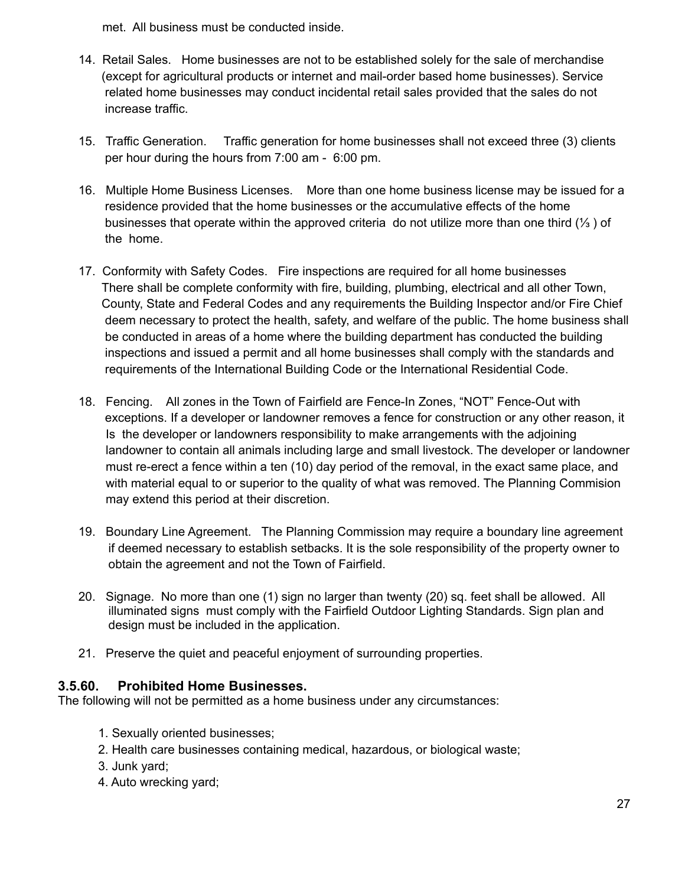met. All business must be conducted inside.

- 14. Retail Sales. Home businesses are not to be established solely for the sale of merchandise (except for agricultural products or internet and mail-order based home businesses). Service related home businesses may conduct incidental retail sales provided that the sales do not increase traffic.
- 15. Traffic Generation. Traffic generation for home businesses shall not exceed three (3) clients per hour during the hours from 7:00 am - 6:00 pm.
- 16. Multiple Home Business Licenses. More than one home business license may be issued for a residence provided that the home businesses or the accumulative effects of the home businesses that operate within the approved criteria do not utilize more than one third (⅓ ) of the home.
- 17. Conformity with Safety Codes. Fire inspections are required for all home businesses There shall be complete conformity with fire, building, plumbing, electrical and all other Town, County, State and Federal Codes and any requirements the Building Inspector and/or Fire Chief deem necessary to protect the health, safety, and welfare of the public. The home business shall be conducted in areas of a home where the building department has conducted the building inspections and issued a permit and all home businesses shall comply with the standards and requirements of the International Building Code or the International Residential Code.
- 18. Fencing. All zones in the Town of Fairfield are Fence-In Zones, "NOT" Fence-Out with exceptions. If a developer or landowner removes a fence for construction or any other reason, it Is the developer or landowners responsibility to make arrangements with the adjoining landowner to contain all animals including large and small livestock. The developer or landowner must re-erect a fence within a ten (10) day period of the removal, in the exact same place, and with material equal to or superior to the quality of what was removed. The Planning Commision may extend this period at their discretion.
- 19. Boundary Line Agreement. The Planning Commission may require a boundary line agreement if deemed necessary to establish setbacks. It is the sole responsibility of the property owner to obtain the agreement and not the Town of Fairfield.
- 20. Signage. No more than one (1) sign no larger than twenty (20) sq. feet shall be allowed. All illuminated signs must comply with the Fairfield Outdoor Lighting Standards. Sign plan and design must be included in the application.
- 21. Preserve the quiet and peaceful enjoyment of surrounding properties.

#### **3.5.60. Prohibited Home Businesses.**

The following will not be permitted as a home business under any circumstances:

- 1. Sexually oriented businesses;
- 2. Health care businesses containing medical, hazardous, or biological waste;
- 3. Junk yard;
- 4. Auto wrecking yard;